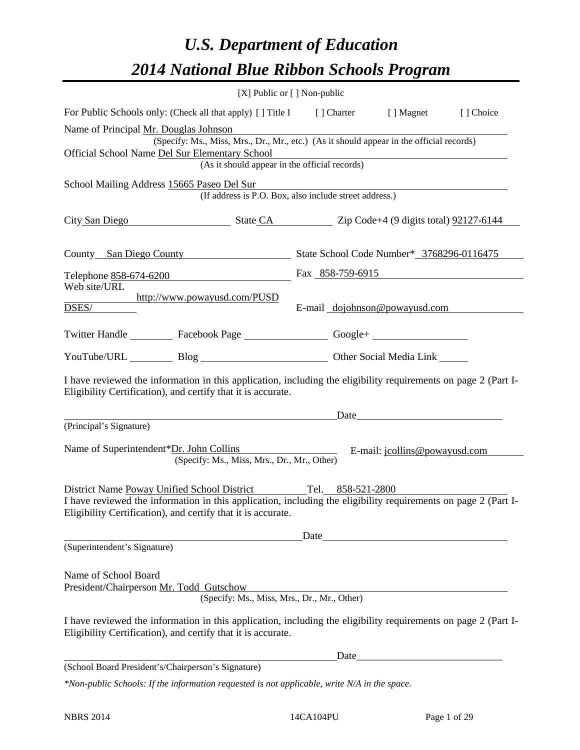# *U.S. Department of Education 2014 National Blue Ribbon Schools Program*

|                                                                                         | [X] Public or [] Non-public                                                                                                                                                                                                                     |      |      |                               |           |
|-----------------------------------------------------------------------------------------|-------------------------------------------------------------------------------------------------------------------------------------------------------------------------------------------------------------------------------------------------|------|------|-------------------------------|-----------|
|                                                                                         | For Public Schools only: (Check all that apply) [] Title I [] Charter [] Magnet                                                                                                                                                                 |      |      |                               | [] Choice |
| Name of Principal Mr. Douglas Johnson<br>Official School Name Del Sur Elementary School | (Specify: Ms., Miss, Mrs., Dr., Mr., etc.) (As it should appear in the official records)<br>dementary School<br>(As it should appear in the official records)                                                                                   |      |      |                               |           |
| School Mailing Address 15665 Paseo Del Sur                                              | (If address is P.O. Box, also include street address.)                                                                                                                                                                                          |      |      |                               |           |
|                                                                                         | City San Diego State CA Zip Code+4 (9 digits total) 92127-6144                                                                                                                                                                                  |      |      |                               |           |
|                                                                                         | County San Diego County State School Code Number* 3768296-0116475                                                                                                                                                                               |      |      |                               |           |
|                                                                                         | Telephone 858-674-6200                                                                                                                                                                                                                          |      |      | Fax $858-759-6915$            |           |
| Web site/URL<br>DSES/                                                                   | http://www.powayusd.com/PUSD                                                                                                                                                                                                                    |      |      | E-mail dojohnson@powayusd.com |           |
|                                                                                         | Twitter Handle ___________ Facebook Page ___________________ Google+ ____________                                                                                                                                                               |      |      |                               |           |
|                                                                                         | YouTube/URL Blog Blog Diher Social Media Link                                                                                                                                                                                                   |      |      |                               |           |
|                                                                                         | I have reviewed the information in this application, including the eligibility requirements on page 2 (Part I-<br>Eligibility Certification), and certify that it is accurate.                                                                  |      |      |                               |           |
|                                                                                         | Date <u>Date</u>                                                                                                                                                                                                                                |      |      |                               |           |
| (Principal's Signature)                                                                 | Name of Superintendent*Dr. John Collins E-mail: jcollins@powayusd.com<br>(Specify: Ms., Miss, Mrs., Dr., Mr., Other)                                                                                                                            |      |      |                               |           |
|                                                                                         | District Name Poway Unified School District Tel. 858-521-2800<br>I have reviewed the information in this application, including the eligibility requirements on page 2 (Part I-<br>Eligibility Certification), and certify that it is accurate. |      |      |                               |           |
|                                                                                         |                                                                                                                                                                                                                                                 | Date |      |                               |           |
| (Superintendent's Signature)                                                            |                                                                                                                                                                                                                                                 |      |      |                               |           |
| Name of School Board<br>President/Chairperson Mr. Todd Gutschow                         | (Specify: Ms., Miss, Mrs., Dr., Mr., Other)                                                                                                                                                                                                     |      |      |                               |           |
|                                                                                         | I have reviewed the information in this application, including the eligibility requirements on page 2 (Part I-<br>Eligibility Certification), and certify that it is accurate.                                                                  |      |      |                               |           |
|                                                                                         |                                                                                                                                                                                                                                                 |      | Date |                               |           |
| (School Board President's/Chairperson's Signature)                                      |                                                                                                                                                                                                                                                 |      |      |                               |           |
|                                                                                         | $*$ Non-public Schools: If the information requested is not applicable, write $N/A$ in the space.                                                                                                                                               |      |      |                               |           |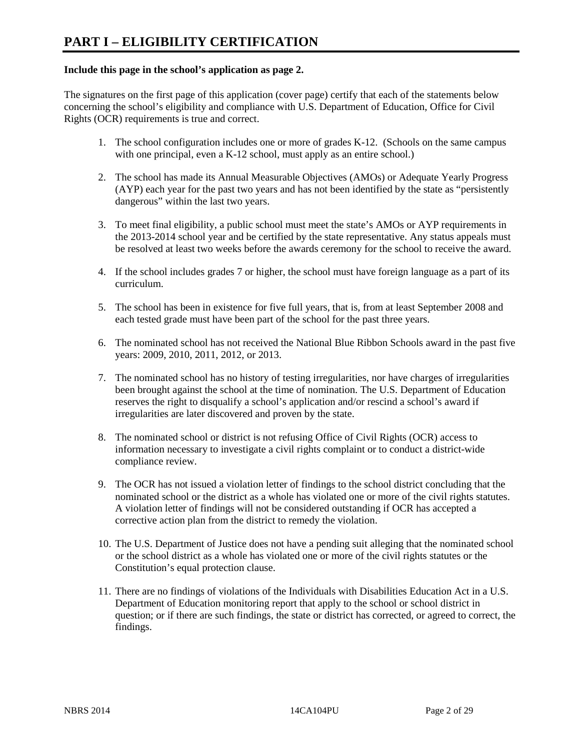#### **Include this page in the school's application as page 2.**

The signatures on the first page of this application (cover page) certify that each of the statements below concerning the school's eligibility and compliance with U.S. Department of Education, Office for Civil Rights (OCR) requirements is true and correct.

- 1. The school configuration includes one or more of grades K-12. (Schools on the same campus with one principal, even a K-12 school, must apply as an entire school.)
- 2. The school has made its Annual Measurable Objectives (AMOs) or Adequate Yearly Progress (AYP) each year for the past two years and has not been identified by the state as "persistently dangerous" within the last two years.
- 3. To meet final eligibility, a public school must meet the state's AMOs or AYP requirements in the 2013-2014 school year and be certified by the state representative. Any status appeals must be resolved at least two weeks before the awards ceremony for the school to receive the award.
- 4. If the school includes grades 7 or higher, the school must have foreign language as a part of its curriculum.
- 5. The school has been in existence for five full years, that is, from at least September 2008 and each tested grade must have been part of the school for the past three years.
- 6. The nominated school has not received the National Blue Ribbon Schools award in the past five years: 2009, 2010, 2011, 2012, or 2013.
- 7. The nominated school has no history of testing irregularities, nor have charges of irregularities been brought against the school at the time of nomination. The U.S. Department of Education reserves the right to disqualify a school's application and/or rescind a school's award if irregularities are later discovered and proven by the state.
- 8. The nominated school or district is not refusing Office of Civil Rights (OCR) access to information necessary to investigate a civil rights complaint or to conduct a district-wide compliance review.
- 9. The OCR has not issued a violation letter of findings to the school district concluding that the nominated school or the district as a whole has violated one or more of the civil rights statutes. A violation letter of findings will not be considered outstanding if OCR has accepted a corrective action plan from the district to remedy the violation.
- 10. The U.S. Department of Justice does not have a pending suit alleging that the nominated school or the school district as a whole has violated one or more of the civil rights statutes or the Constitution's equal protection clause.
- 11. There are no findings of violations of the Individuals with Disabilities Education Act in a U.S. Department of Education monitoring report that apply to the school or school district in question; or if there are such findings, the state or district has corrected, or agreed to correct, the findings.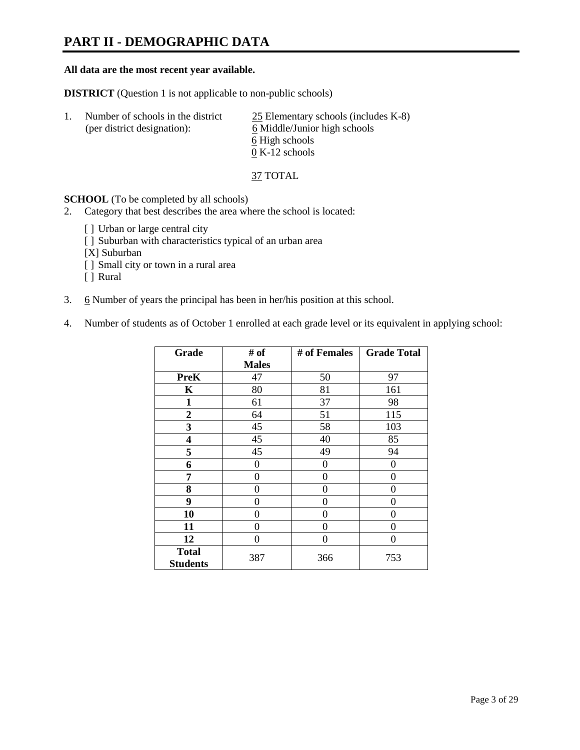### **PART II - DEMOGRAPHIC DATA**

#### **All data are the most recent year available.**

**DISTRICT** (Question 1 is not applicable to non-public schools)

| $\perp$ | Number of schools in the district<br>(per district designation): | $25$ Elementary schools (includes K-8)<br>6 Middle/Junior high schools |
|---------|------------------------------------------------------------------|------------------------------------------------------------------------|
|         |                                                                  | 6 High schools                                                         |
|         |                                                                  | $0 K-12$ schools                                                       |

37 TOTAL

**SCHOOL** (To be completed by all schools)

- 2. Category that best describes the area where the school is located:
	- [] Urban or large central city
	- [ ] Suburban with characteristics typical of an urban area
	- [X] Suburban
	- [ ] Small city or town in a rural area
	- [ ] Rural
- 3. 6 Number of years the principal has been in her/his position at this school.
- 4. Number of students as of October 1 enrolled at each grade level or its equivalent in applying school:

| Grade                           | # of         | # of Females | <b>Grade Total</b> |
|---------------------------------|--------------|--------------|--------------------|
|                                 | <b>Males</b> |              |                    |
| <b>PreK</b>                     | 47           | 50           | 97                 |
| K                               | 80           | 81           | 161                |
| $\mathbf{1}$                    | 61           | 37           | 98                 |
| $\mathbf{2}$                    | 64           | 51           | 115                |
| 3                               | 45           | 58           | 103                |
| 4                               | 45           | 40           | 85                 |
| 5                               | 45           | 49           | 94                 |
| 6                               | 0            | 0            | 0                  |
| 7                               | $\theta$     | $\theta$     | 0                  |
| 8                               | 0            | 0            | 0                  |
| 9                               | $\theta$     | 0            | 0                  |
| 10                              | 0            | 0            | 0                  |
| 11                              | 0            | 0            | 0                  |
| 12                              | 0            | 0            | 0                  |
| <b>Total</b><br><b>Students</b> | 387          | 366          | 753                |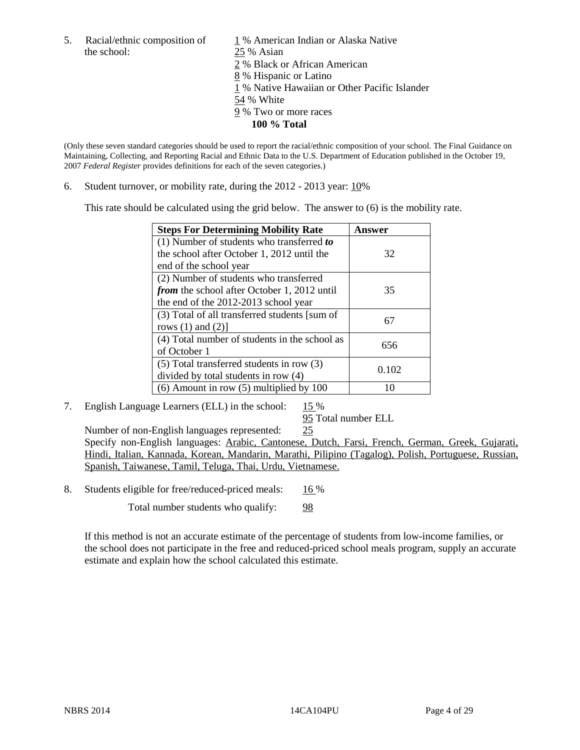the school: 25 % Asian

5. Racial/ethnic composition of  $1\%$  American Indian or Alaska Native 2 % Black or African American 8 % Hispanic or Latino 1 % Native Hawaiian or Other Pacific Islander 54 % White 9 % Two or more races **100 % Total** 

(Only these seven standard categories should be used to report the racial/ethnic composition of your school. The Final Guidance on Maintaining, Collecting, and Reporting Racial and Ethnic Data to the U.S. Department of Education published in the October 19, 2007 *Federal Register* provides definitions for each of the seven categories.)

6. Student turnover, or mobility rate, during the 2012 - 2013 year: 10%

This rate should be calculated using the grid below. The answer to (6) is the mobility rate.

| <b>Steps For Determining Mobility Rate</b>         | Answer |
|----------------------------------------------------|--------|
| (1) Number of students who transferred to          |        |
| the school after October 1, 2012 until the         | 32     |
| end of the school year                             |        |
| (2) Number of students who transferred             |        |
| <i>from</i> the school after October 1, 2012 until | 35     |
| the end of the 2012-2013 school year               |        |
| (3) Total of all transferred students [sum of      | 67     |
| rows $(1)$ and $(2)$ ]                             |        |
| (4) Total number of students in the school as      | 656    |
| of October 1                                       |        |
| $(5)$ Total transferred students in row $(3)$      | 0.102  |
| divided by total students in row (4)               |        |
| $(6)$ Amount in row $(5)$ multiplied by 100        |        |

7. English Language Learners (ELL) in the school: 15 %

95 Total number ELL

Number of non-English languages represented: 25 Specify non-English languages: Arabic, Cantonese, Dutch, Farsi, French, German, Greek, Gujarati, Hindi, Italian, Kannada, Korean, Mandarin, Marathi, Pilipino (Tagalog), Polish, Portuguese, Russian, Spanish, Taiwanese, Tamil, Teluga, Thai, Urdu, Vietnamese.

8. Students eligible for free/reduced-priced meals: 16 %

Total number students who qualify: 98

If this method is not an accurate estimate of the percentage of students from low-income families, or the school does not participate in the free and reduced-priced school meals program, supply an accurate estimate and explain how the school calculated this estimate.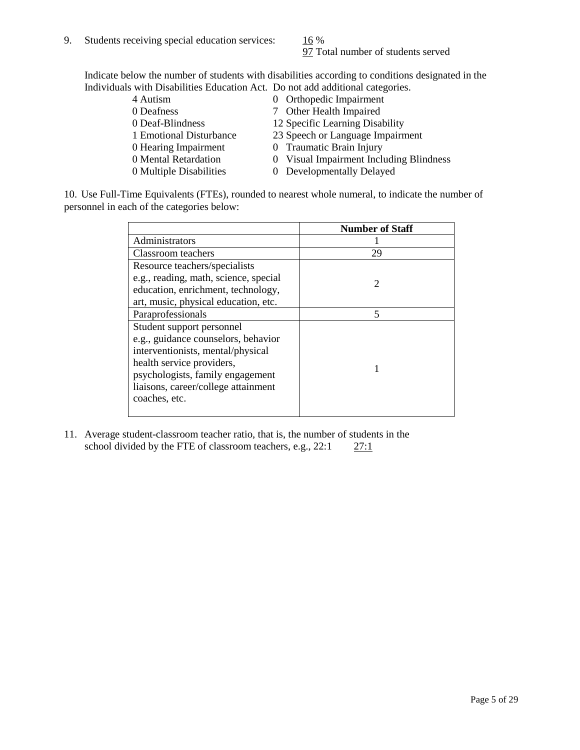97 Total number of students served

Indicate below the number of students with disabilities according to conditions designated in the Individuals with Disabilities Education Act. Do not add additional categories.

| 4 Autism                | 0 Orthopedic Impairment                 |
|-------------------------|-----------------------------------------|
| 0 Deafness              | 7 Other Health Impaired                 |
| 0 Deaf-Blindness        | 12 Specific Learning Disability         |
| 1 Emotional Disturbance | 23 Speech or Language Impairment        |
| 0 Hearing Impairment    | 0 Traumatic Brain Injury                |
| 0 Mental Retardation    | 0 Visual Impairment Including Blindness |
| 0 Multiple Disabilities | 0 Developmentally Delayed               |
|                         |                                         |

10. Use Full-Time Equivalents (FTEs), rounded to nearest whole numeral, to indicate the number of personnel in each of the categories below:

|                                       | <b>Number of Staff</b> |
|---------------------------------------|------------------------|
| Administrators                        |                        |
| Classroom teachers                    | 29                     |
| Resource teachers/specialists         |                        |
| e.g., reading, math, science, special | $\mathcal{D}$          |
| education, enrichment, technology,    |                        |
| art, music, physical education, etc.  |                        |
| Paraprofessionals                     | 5                      |
| Student support personnel             |                        |
| e.g., guidance counselors, behavior   |                        |
| interventionists, mental/physical     |                        |
| health service providers,             |                        |
| psychologists, family engagement      |                        |
| liaisons, career/college attainment   |                        |
| coaches, etc.                         |                        |
|                                       |                        |

11. Average student-classroom teacher ratio, that is, the number of students in the school divided by the FTE of classroom teachers, e.g.,  $22:1$   $27:1$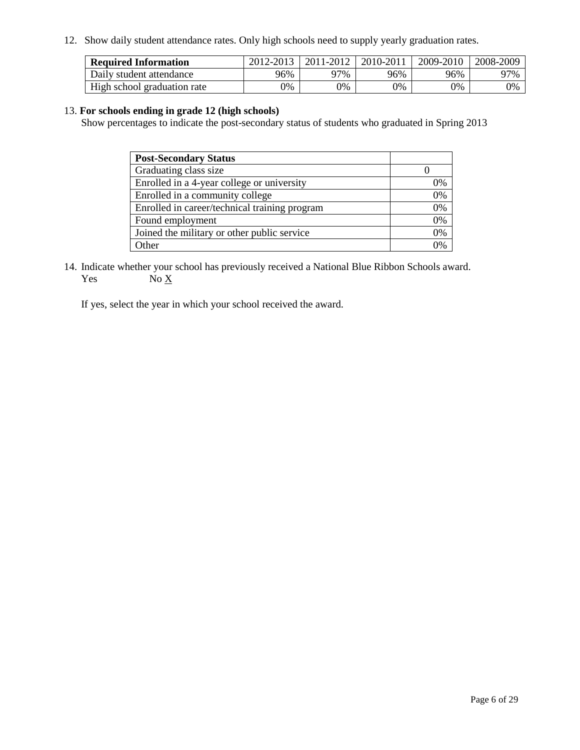12. Show daily student attendance rates. Only high schools need to supply yearly graduation rates.

| <b>Required Information</b> | 2012-2013 | 2011-2012 | 2010-2011 | 2009-2010 | 2008-2009 |
|-----------------------------|-----------|-----------|-----------|-----------|-----------|
| Daily student attendance    | 96%       | 97%       | 96%       | 96%       | 97%       |
| High school graduation rate | 0%        | 9%        | 0%        | 0%        | 0%        |

#### 13. **For schools ending in grade 12 (high schools)**

Show percentages to indicate the post-secondary status of students who graduated in Spring 2013

| <b>Post-Secondary Status</b>                  |    |
|-----------------------------------------------|----|
| Graduating class size                         |    |
| Enrolled in a 4-year college or university    | 0% |
| Enrolled in a community college               | 0% |
| Enrolled in career/technical training program | 0% |
| Found employment                              | 0% |
| Joined the military or other public service   | 0% |
| <b>Other</b>                                  | 2% |

14. Indicate whether your school has previously received a National Blue Ribbon Schools award. Yes  $No \underline{X}$ 

If yes, select the year in which your school received the award.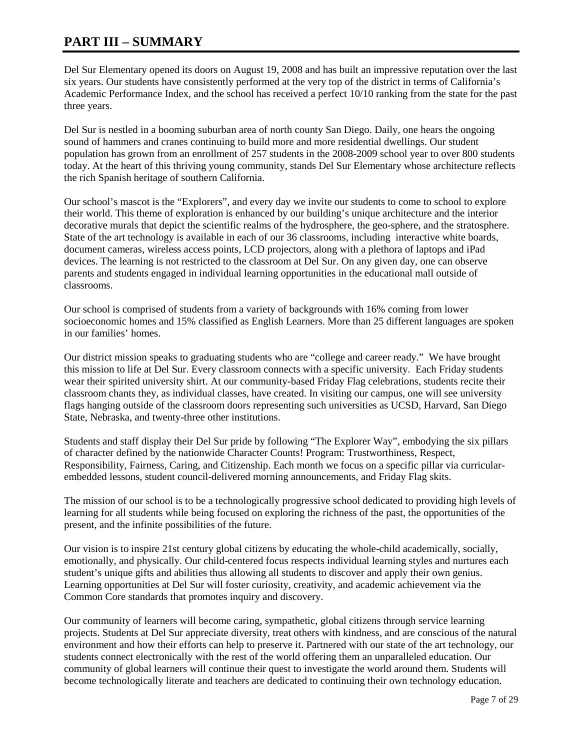### **PART III – SUMMARY**

Del Sur Elementary opened its doors on August 19, 2008 and has built an impressive reputation over the last six years. Our students have consistently performed at the very top of the district in terms of California's Academic Performance Index, and the school has received a perfect 10/10 ranking from the state for the past three years.

Del Sur is nestled in a booming suburban area of north county San Diego. Daily, one hears the ongoing sound of hammers and cranes continuing to build more and more residential dwellings. Our student population has grown from an enrollment of 257 students in the 2008-2009 school year to over 800 students today. At the heart of this thriving young community, stands Del Sur Elementary whose architecture reflects the rich Spanish heritage of southern California.

Our school's mascot is the "Explorers", and every day we invite our students to come to school to explore their world. This theme of exploration is enhanced by our building's unique architecture and the interior decorative murals that depict the scientific realms of the hydrosphere, the geo-sphere, and the stratosphere. State of the art technology is available in each of our 36 classrooms, including interactive white boards, document cameras, wireless access points, LCD projectors, along with a plethora of laptops and iPad devices. The learning is not restricted to the classroom at Del Sur. On any given day, one can observe parents and students engaged in individual learning opportunities in the educational mall outside of classrooms.

Our school is comprised of students from a variety of backgrounds with 16% coming from lower socioeconomic homes and 15% classified as English Learners. More than 25 different languages are spoken in our families' homes.

Our district mission speaks to graduating students who are "college and career ready." We have brought this mission to life at Del Sur. Every classroom connects with a specific university. Each Friday students wear their spirited university shirt. At our community-based Friday Flag celebrations, students recite their classroom chants they, as individual classes, have created. In visiting our campus, one will see university flags hanging outside of the classroom doors representing such universities as UCSD, Harvard, San Diego State, Nebraska, and twenty-three other institutions.

Students and staff display their Del Sur pride by following "The Explorer Way", embodying the six pillars of character defined by the nationwide Character Counts! Program: Trustworthiness, Respect, Responsibility, Fairness, Caring, and Citizenship. Each month we focus on a specific pillar via curricularembedded lessons, student council-delivered morning announcements, and Friday Flag skits.

The mission of our school is to be a technologically progressive school dedicated to providing high levels of learning for all students while being focused on exploring the richness of the past, the opportunities of the present, and the infinite possibilities of the future.

Our vision is to inspire 21st century global citizens by educating the whole-child academically, socially, emotionally, and physically. Our child-centered focus respects individual learning styles and nurtures each student's unique gifts and abilities thus allowing all students to discover and apply their own genius. Learning opportunities at Del Sur will foster curiosity, creativity, and academic achievement via the Common Core standards that promotes inquiry and discovery.

Our community of learners will become caring, sympathetic, global citizens through service learning projects. Students at Del Sur appreciate diversity, treat others with kindness, and are conscious of the natural environment and how their efforts can help to preserve it. Partnered with our state of the art technology, our students connect electronically with the rest of the world offering them an unparalleled education. Our community of global learners will continue their quest to investigate the world around them. Students will become technologically literate and teachers are dedicated to continuing their own technology education.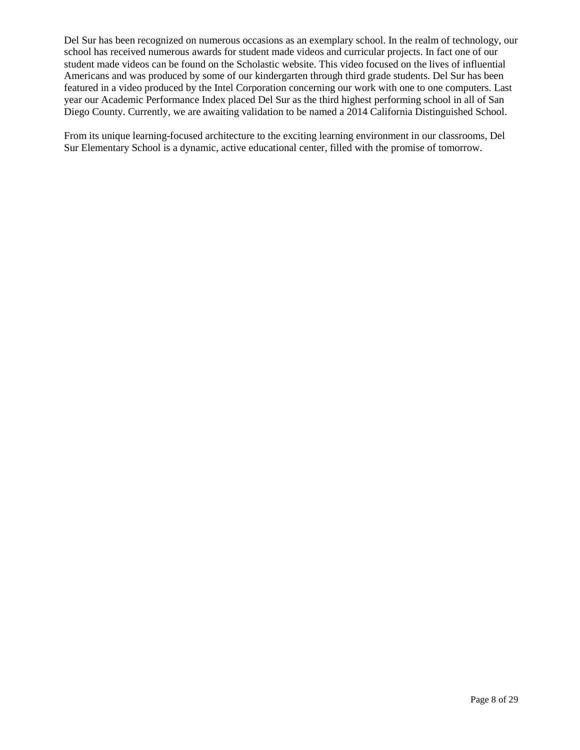Del Sur has been recognized on numerous occasions as an exemplary school. In the realm of technology, our school has received numerous awards for student made videos and curricular projects. In fact one of our student made videos can be found on the Scholastic website. This video focused on the lives of influential Americans and was produced by some of our kindergarten through third grade students. Del Sur has been featured in a video produced by the Intel Corporation concerning our work with one to one computers. Last year our Academic Performance Index placed Del Sur as the third highest performing school in all of San Diego County. Currently, we are awaiting validation to be named a 2014 California Distinguished School.

From its unique learning-focused architecture to the exciting learning environment in our classrooms, Del Sur Elementary School is a dynamic, active educational center, filled with the promise of tomorrow.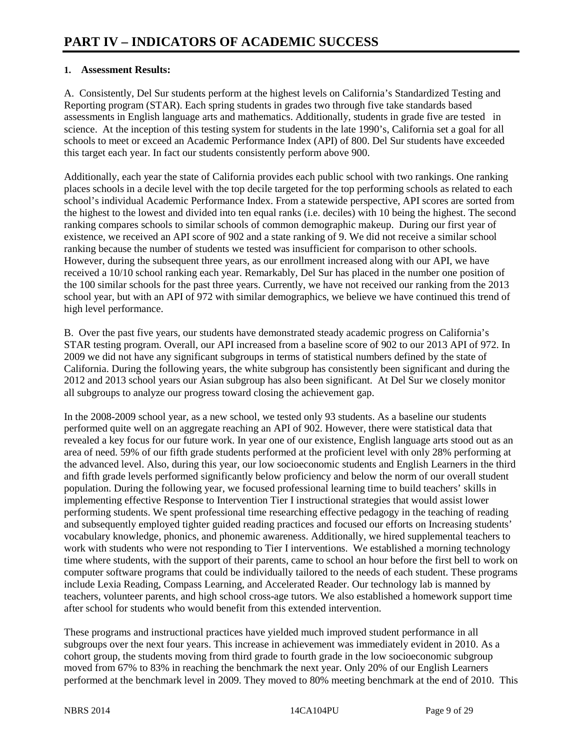#### **1. Assessment Results:**

A. Consistently, Del Sur students perform at the highest levels on California's Standardized Testing and Reporting program (STAR). Each spring students in grades two through five take standards based assessments in English language arts and mathematics. Additionally, students in grade five are tested in science. At the inception of this testing system for students in the late 1990's, California set a goal for all schools to meet or exceed an Academic Performance Index (API) of 800. Del Sur students have exceeded this target each year. In fact our students consistently perform above 900.

Additionally, each year the state of California provides each public school with two rankings. One ranking places schools in a decile level with the top decile targeted for the top performing schools as related to each school's individual Academic Performance Index. From a statewide perspective, API scores are sorted from the highest to the lowest and divided into ten equal ranks (i.e. deciles) with 10 being the highest. The second ranking compares schools to similar schools of common demographic makeup. During our first year of existence, we received an API score of 902 and a state ranking of 9. We did not receive a similar school ranking because the number of students we tested was insufficient for comparison to other schools. However, during the subsequent three years, as our enrollment increased along with our API, we have received a 10/10 school ranking each year. Remarkably, Del Sur has placed in the number one position of the 100 similar schools for the past three years. Currently, we have not received our ranking from the 2013 school year, but with an API of 972 with similar demographics, we believe we have continued this trend of high level performance.

B. Over the past five years, our students have demonstrated steady academic progress on California's STAR testing program. Overall, our API increased from a baseline score of 902 to our 2013 API of 972. In 2009 we did not have any significant subgroups in terms of statistical numbers defined by the state of California. During the following years, the white subgroup has consistently been significant and during the 2012 and 2013 school years our Asian subgroup has also been significant. At Del Sur we closely monitor all subgroups to analyze our progress toward closing the achievement gap.

In the 2008-2009 school year, as a new school, we tested only 93 students. As a baseline our students performed quite well on an aggregate reaching an API of 902. However, there were statistical data that revealed a key focus for our future work. In year one of our existence, English language arts stood out as an area of need. 59% of our fifth grade students performed at the proficient level with only 28% performing at the advanced level. Also, during this year, our low socioeconomic students and English Learners in the third and fifth grade levels performed significantly below proficiency and below the norm of our overall student population. During the following year, we focused professional learning time to build teachers' skills in implementing effective Response to Intervention Tier I instructional strategies that would assist lower performing students. We spent professional time researching effective pedagogy in the teaching of reading and subsequently employed tighter guided reading practices and focused our efforts on Increasing students' vocabulary knowledge, phonics, and phonemic awareness. Additionally, we hired supplemental teachers to work with students who were not responding to Tier I interventions. We established a morning technology time where students, with the support of their parents, came to school an hour before the first bell to work on computer software programs that could be individually tailored to the needs of each student. These programs include Lexia Reading, Compass Learning, and Accelerated Reader. Our technology lab is manned by teachers, volunteer parents, and high school cross-age tutors. We also established a homework support time after school for students who would benefit from this extended intervention.

These programs and instructional practices have yielded much improved student performance in all subgroups over the next four years. This increase in achievement was immediately evident in 2010. As a cohort group, the students moving from third grade to fourth grade in the low socioeconomic subgroup moved from 67% to 83% in reaching the benchmark the next year. Only 20% of our English Learners performed at the benchmark level in 2009. They moved to 80% meeting benchmark at the end of 2010. This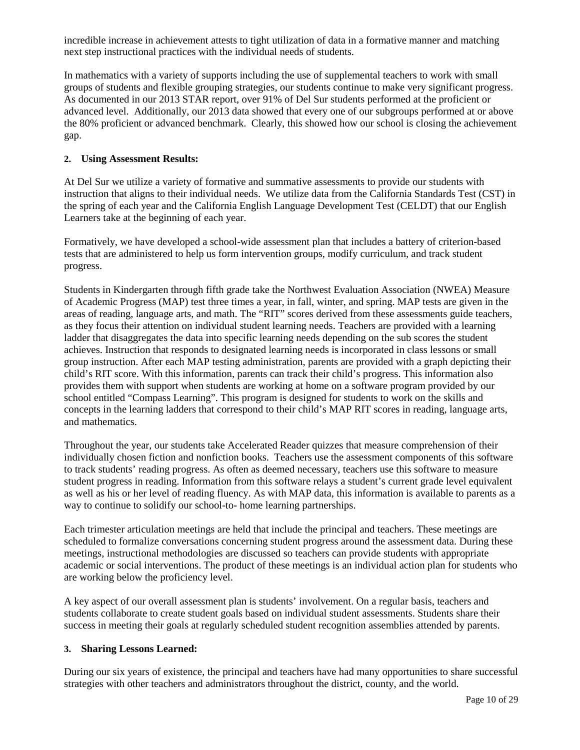incredible increase in achievement attests to tight utilization of data in a formative manner and matching next step instructional practices with the individual needs of students.

In mathematics with a variety of supports including the use of supplemental teachers to work with small groups of students and flexible grouping strategies, our students continue to make very significant progress. As documented in our 2013 STAR report, over 91% of Del Sur students performed at the proficient or advanced level. Additionally, our 2013 data showed that every one of our subgroups performed at or above the 80% proficient or advanced benchmark. Clearly, this showed how our school is closing the achievement gap.

#### **2. Using Assessment Results:**

At Del Sur we utilize a variety of formative and summative assessments to provide our students with instruction that aligns to their individual needs. We utilize data from the California Standards Test (CST) in the spring of each year and the California English Language Development Test (CELDT) that our English Learners take at the beginning of each year.

Formatively, we have developed a school-wide assessment plan that includes a battery of criterion-based tests that are administered to help us form intervention groups, modify curriculum, and track student progress.

Students in Kindergarten through fifth grade take the Northwest Evaluation Association (NWEA) Measure of Academic Progress (MAP) test three times a year, in fall, winter, and spring. MAP tests are given in the areas of reading, language arts, and math. The "RIT" scores derived from these assessments guide teachers, as they focus their attention on individual student learning needs. Teachers are provided with a learning ladder that disaggregates the data into specific learning needs depending on the sub scores the student achieves. Instruction that responds to designated learning needs is incorporated in class lessons or small group instruction. After each MAP testing administration, parents are provided with a graph depicting their child's RIT score. With this information, parents can track their child's progress. This information also provides them with support when students are working at home on a software program provided by our school entitled "Compass Learning". This program is designed for students to work on the skills and concepts in the learning ladders that correspond to their child's MAP RIT scores in reading, language arts, and mathematics.

Throughout the year, our students take Accelerated Reader quizzes that measure comprehension of their individually chosen fiction and nonfiction books. Teachers use the assessment components of this software to track students' reading progress. As often as deemed necessary, teachers use this software to measure student progress in reading. Information from this software relays a student's current grade level equivalent as well as his or her level of reading fluency. As with MAP data, this information is available to parents as a way to continue to solidify our school-to- home learning partnerships.

Each trimester articulation meetings are held that include the principal and teachers. These meetings are scheduled to formalize conversations concerning student progress around the assessment data. During these meetings, instructional methodologies are discussed so teachers can provide students with appropriate academic or social interventions. The product of these meetings is an individual action plan for students who are working below the proficiency level.

A key aspect of our overall assessment plan is students' involvement. On a regular basis, teachers and students collaborate to create student goals based on individual student assessments. Students share their success in meeting their goals at regularly scheduled student recognition assemblies attended by parents.

#### **3. Sharing Lessons Learned:**

During our six years of existence, the principal and teachers have had many opportunities to share successful strategies with other teachers and administrators throughout the district, county, and the world.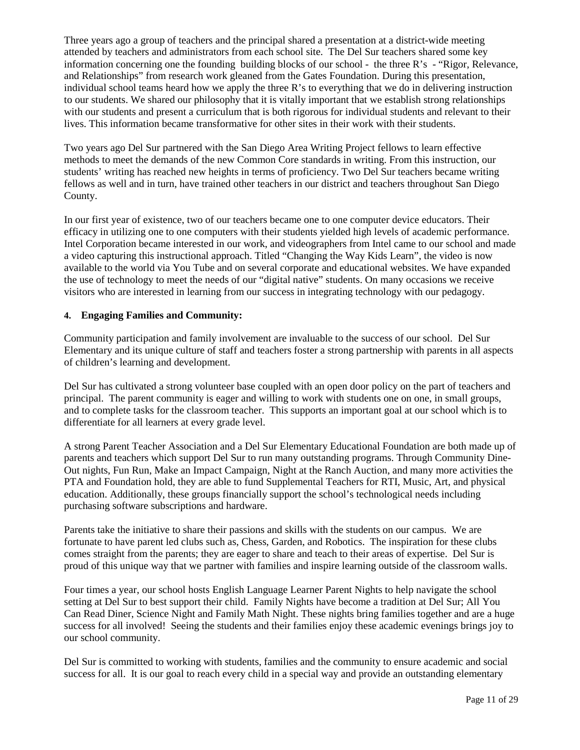Three years ago a group of teachers and the principal shared a presentation at a district-wide meeting attended by teachers and administrators from each school site. The Del Sur teachers shared some key information concerning one the founding building blocks of our school - the three R's - "Rigor, Relevance, and Relationships" from research work gleaned from the Gates Foundation. During this presentation, individual school teams heard how we apply the three R's to everything that we do in delivering instruction to our students. We shared our philosophy that it is vitally important that we establish strong relationships with our students and present a curriculum that is both rigorous for individual students and relevant to their lives. This information became transformative for other sites in their work with their students.

Two years ago Del Sur partnered with the San Diego Area Writing Project fellows to learn effective methods to meet the demands of the new Common Core standards in writing. From this instruction, our students' writing has reached new heights in terms of proficiency. Two Del Sur teachers became writing fellows as well and in turn, have trained other teachers in our district and teachers throughout San Diego County.

In our first year of existence, two of our teachers became one to one computer device educators. Their efficacy in utilizing one to one computers with their students yielded high levels of academic performance. Intel Corporation became interested in our work, and videographers from Intel came to our school and made a video capturing this instructional approach. Titled "Changing the Way Kids Learn", the video is now available to the world via You Tube and on several corporate and educational websites. We have expanded the use of technology to meet the needs of our "digital native" students. On many occasions we receive visitors who are interested in learning from our success in integrating technology with our pedagogy.

#### **4. Engaging Families and Community:**

Community participation and family involvement are invaluable to the success of our school. Del Sur Elementary and its unique culture of staff and teachers foster a strong partnership with parents in all aspects of children's learning and development.

Del Sur has cultivated a strong volunteer base coupled with an open door policy on the part of teachers and principal. The parent community is eager and willing to work with students one on one, in small groups, and to complete tasks for the classroom teacher. This supports an important goal at our school which is to differentiate for all learners at every grade level.

A strong Parent Teacher Association and a Del Sur Elementary Educational Foundation are both made up of parents and teachers which support Del Sur to run many outstanding programs. Through Community Dine-Out nights, Fun Run, Make an Impact Campaign, Night at the Ranch Auction, and many more activities the PTA and Foundation hold, they are able to fund Supplemental Teachers for RTI, Music, Art, and physical education. Additionally, these groups financially support the school's technological needs including purchasing software subscriptions and hardware.

Parents take the initiative to share their passions and skills with the students on our campus. We are fortunate to have parent led clubs such as, Chess, Garden, and Robotics. The inspiration for these clubs comes straight from the parents; they are eager to share and teach to their areas of expertise. Del Sur is proud of this unique way that we partner with families and inspire learning outside of the classroom walls.

Four times a year, our school hosts English Language Learner Parent Nights to help navigate the school setting at Del Sur to best support their child. Family Nights have become a tradition at Del Sur; All You Can Read Diner, Science Night and Family Math Night. These nights bring families together and are a huge success for all involved! Seeing the students and their families enjoy these academic evenings brings joy to our school community.

Del Sur is committed to working with students, families and the community to ensure academic and social success for all. It is our goal to reach every child in a special way and provide an outstanding elementary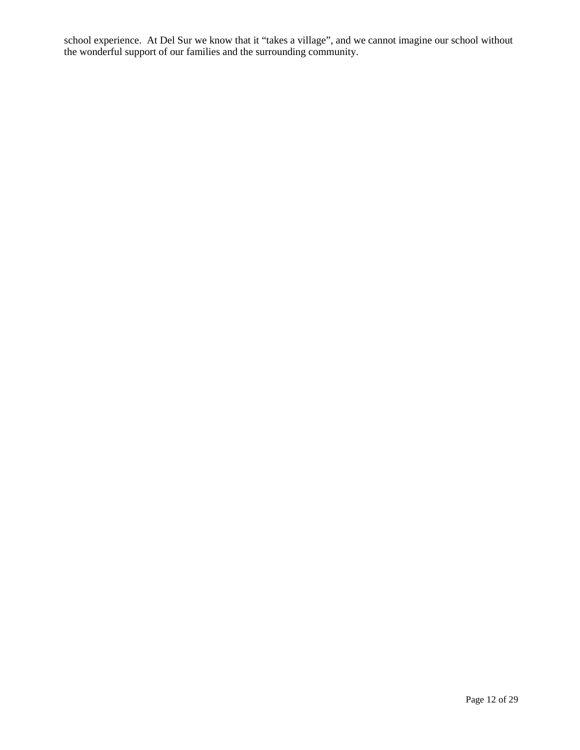school experience. At Del Sur we know that it "takes a village", and we cannot imagine our school without the wonderful support of our families and the surrounding community.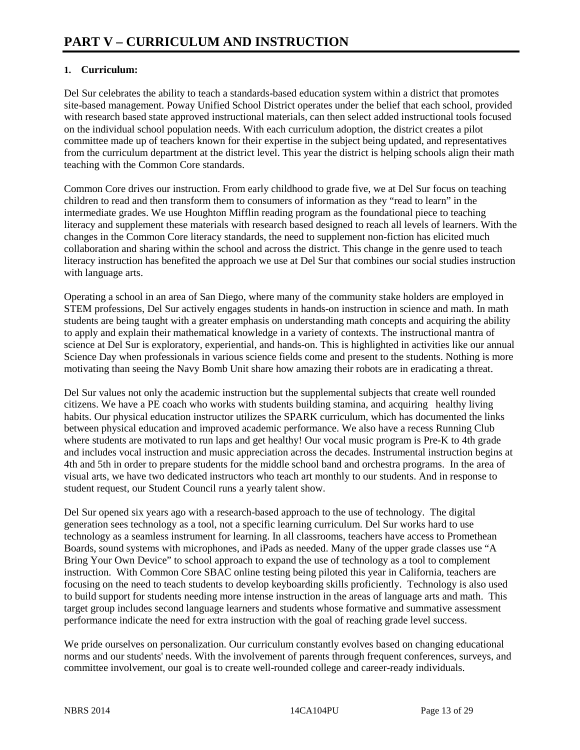#### **1. Curriculum:**

Del Sur celebrates the ability to teach a standards-based education system within a district that promotes site-based management. Poway Unified School District operates under the belief that each school, provided with research based state approved instructional materials, can then select added instructional tools focused on the individual school population needs. With each curriculum adoption, the district creates a pilot committee made up of teachers known for their expertise in the subject being updated, and representatives from the curriculum department at the district level. This year the district is helping schools align their math teaching with the Common Core standards.

Common Core drives our instruction. From early childhood to grade five, we at Del Sur focus on teaching children to read and then transform them to consumers of information as they "read to learn" in the intermediate grades. We use Houghton Mifflin reading program as the foundational piece to teaching literacy and supplement these materials with research based designed to reach all levels of learners. With the changes in the Common Core literacy standards, the need to supplement non-fiction has elicited much collaboration and sharing within the school and across the district. This change in the genre used to teach literacy instruction has benefited the approach we use at Del Sur that combines our social studies instruction with language arts.

Operating a school in an area of San Diego, where many of the community stake holders are employed in STEM professions, Del Sur actively engages students in hands-on instruction in science and math. In math students are being taught with a greater emphasis on understanding math concepts and acquiring the ability to apply and explain their mathematical knowledge in a variety of contexts. The instructional mantra of science at Del Sur is exploratory, experiential, and hands-on. This is highlighted in activities like our annual Science Day when professionals in various science fields come and present to the students. Nothing is more motivating than seeing the Navy Bomb Unit share how amazing their robots are in eradicating a threat.

Del Sur values not only the academic instruction but the supplemental subjects that create well rounded citizens. We have a PE coach who works with students building stamina, and acquiring healthy living habits. Our physical education instructor utilizes the SPARK curriculum, which has documented the links between physical education and improved academic performance. We also have a recess Running Club where students are motivated to run laps and get healthy! Our vocal music program is Pre-K to 4th grade and includes vocal instruction and music appreciation across the decades. Instrumental instruction begins at 4th and 5th in order to prepare students for the middle school band and orchestra programs. In the area of visual arts, we have two dedicated instructors who teach art monthly to our students. And in response to student request, our Student Council runs a yearly talent show.

Del Sur opened six years ago with a research-based approach to the use of technology. The digital generation sees technology as a tool, not a specific learning curriculum. Del Sur works hard to use technology as a seamless instrument for learning. In all classrooms, teachers have access to Promethean Boards, sound systems with microphones, and iPads as needed. Many of the upper grade classes use "A Bring Your Own Device" to school approach to expand the use of technology as a tool to complement instruction. With Common Core SBAC online testing being piloted this year in California, teachers are focusing on the need to teach students to develop keyboarding skills proficiently. Technology is also used to build support for students needing more intense instruction in the areas of language arts and math. This target group includes second language learners and students whose formative and summative assessment performance indicate the need for extra instruction with the goal of reaching grade level success.

We pride ourselves on personalization. Our curriculum constantly evolves based on changing educational norms and our students' needs. With the involvement of parents through frequent conferences, surveys, and committee involvement, our goal is to create well-rounded college and career-ready individuals.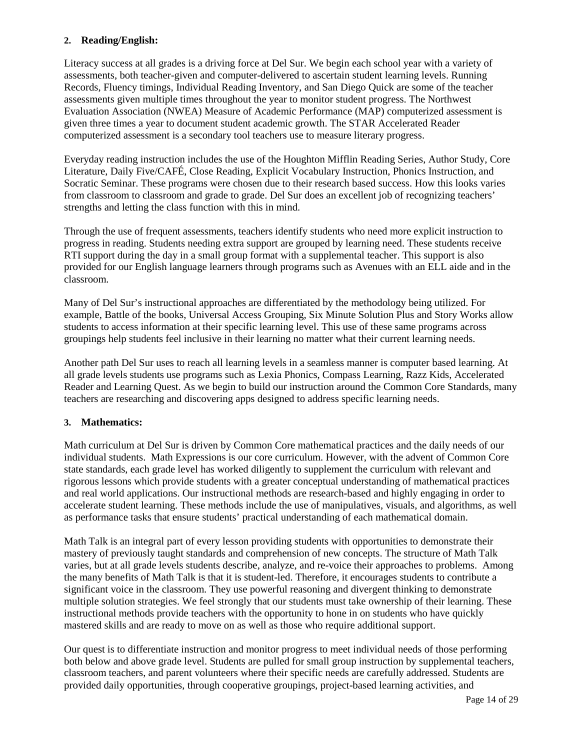#### **2. Reading/English:**

Literacy success at all grades is a driving force at Del Sur. We begin each school year with a variety of assessments, both teacher-given and computer-delivered to ascertain student learning levels. Running Records, Fluency timings, Individual Reading Inventory, and San Diego Quick are some of the teacher assessments given multiple times throughout the year to monitor student progress. The Northwest Evaluation Association (NWEA) Measure of Academic Performance (MAP) computerized assessment is given three times a year to document student academic growth. The STAR Accelerated Reader computerized assessment is a secondary tool teachers use to measure literary progress.

Everyday reading instruction includes the use of the Houghton Mifflin Reading Series, Author Study, Core Literature, Daily Five/CAFÉ, Close Reading, Explicit Vocabulary Instruction, Phonics Instruction, and Socratic Seminar. These programs were chosen due to their research based success. How this looks varies from classroom to classroom and grade to grade. Del Sur does an excellent job of recognizing teachers' strengths and letting the class function with this in mind.

Through the use of frequent assessments, teachers identify students who need more explicit instruction to progress in reading. Students needing extra support are grouped by learning need. These students receive RTI support during the day in a small group format with a supplemental teacher. This support is also provided for our English language learners through programs such as Avenues with an ELL aide and in the classroom.

Many of Del Sur's instructional approaches are differentiated by the methodology being utilized. For example, Battle of the books, Universal Access Grouping, Six Minute Solution Plus and Story Works allow students to access information at their specific learning level. This use of these same programs across groupings help students feel inclusive in their learning no matter what their current learning needs.

Another path Del Sur uses to reach all learning levels in a seamless manner is computer based learning. At all grade levels students use programs such as Lexia Phonics, Compass Learning, Razz Kids, Accelerated Reader and Learning Quest. As we begin to build our instruction around the Common Core Standards, many teachers are researching and discovering apps designed to address specific learning needs.

#### **3. Mathematics:**

Math curriculum at Del Sur is driven by Common Core mathematical practices and the daily needs of our individual students. Math Expressions is our core curriculum. However, with the advent of Common Core state standards, each grade level has worked diligently to supplement the curriculum with relevant and rigorous lessons which provide students with a greater conceptual understanding of mathematical practices and real world applications. Our instructional methods are research-based and highly engaging in order to accelerate student learning. These methods include the use of manipulatives, visuals, and algorithms, as well as performance tasks that ensure students' practical understanding of each mathematical domain.

Math Talk is an integral part of every lesson providing students with opportunities to demonstrate their mastery of previously taught standards and comprehension of new concepts. The structure of Math Talk varies, but at all grade levels students describe, analyze, and re-voice their approaches to problems. Among the many benefits of Math Talk is that it is student-led. Therefore, it encourages students to contribute a significant voice in the classroom. They use powerful reasoning and divergent thinking to demonstrate multiple solution strategies. We feel strongly that our students must take ownership of their learning. These instructional methods provide teachers with the opportunity to hone in on students who have quickly mastered skills and are ready to move on as well as those who require additional support.

Our quest is to differentiate instruction and monitor progress to meet individual needs of those performing both below and above grade level. Students are pulled for small group instruction by supplemental teachers, classroom teachers, and parent volunteers where their specific needs are carefully addressed. Students are provided daily opportunities, through cooperative groupings, project-based learning activities, and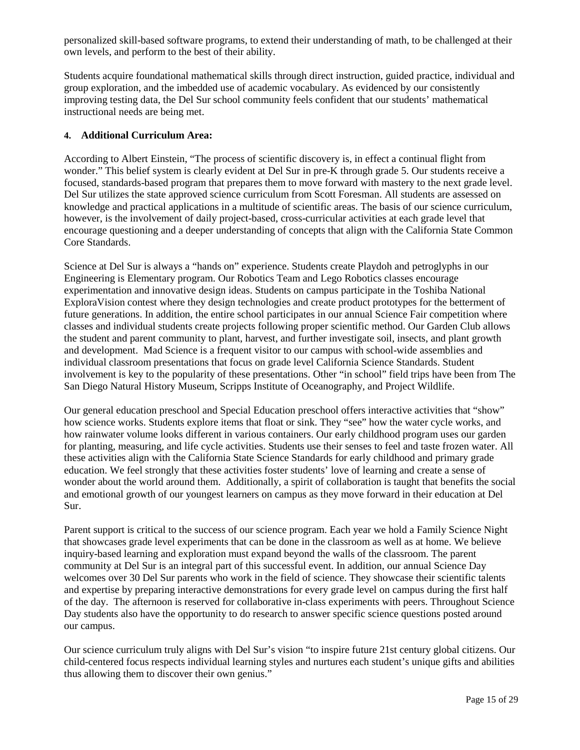personalized skill-based software programs, to extend their understanding of math, to be challenged at their own levels, and perform to the best of their ability.

Students acquire foundational mathematical skills through direct instruction, guided practice, individual and group exploration, and the imbedded use of academic vocabulary. As evidenced by our consistently improving testing data, the Del Sur school community feels confident that our students' mathematical instructional needs are being met.

#### **4. Additional Curriculum Area:**

According to Albert Einstein, "The process of scientific discovery is, in effect a continual flight from wonder." This belief system is clearly evident at Del Sur in pre-K through grade 5. Our students receive a focused, standards-based program that prepares them to move forward with mastery to the next grade level. Del Sur utilizes the state approved science curriculum from Scott Foresman. All students are assessed on knowledge and practical applications in a multitude of scientific areas. The basis of our science curriculum, however, is the involvement of daily project-based, cross-curricular activities at each grade level that encourage questioning and a deeper understanding of concepts that align with the California State Common Core Standards.

Science at Del Sur is always a "hands on" experience. Students create Playdoh and petroglyphs in our Engineering is Elementary program. Our Robotics Team and Lego Robotics classes encourage experimentation and innovative design ideas. Students on campus participate in the Toshiba National ExploraVision contest where they design technologies and create product prototypes for the betterment of future generations. In addition, the entire school participates in our annual Science Fair competition where classes and individual students create projects following proper scientific method. Our Garden Club allows the student and parent community to plant, harvest, and further investigate soil, insects, and plant growth and development. Mad Science is a frequent visitor to our campus with school-wide assemblies and individual classroom presentations that focus on grade level California Science Standards. Student involvement is key to the popularity of these presentations. Other "in school" field trips have been from The San Diego Natural History Museum, Scripps Institute of Oceanography, and Project Wildlife.

Our general education preschool and Special Education preschool offers interactive activities that "show" how science works. Students explore items that float or sink. They "see" how the water cycle works, and how rainwater volume looks different in various containers. Our early childhood program uses our garden for planting, measuring, and life cycle activities. Students use their senses to feel and taste frozen water. All these activities align with the California State Science Standards for early childhood and primary grade education. We feel strongly that these activities foster students' love of learning and create a sense of wonder about the world around them. Additionally, a spirit of collaboration is taught that benefits the social and emotional growth of our youngest learners on campus as they move forward in their education at Del Sur.

Parent support is critical to the success of our science program. Each year we hold a Family Science Night that showcases grade level experiments that can be done in the classroom as well as at home. We believe inquiry-based learning and exploration must expand beyond the walls of the classroom. The parent community at Del Sur is an integral part of this successful event. In addition, our annual Science Day welcomes over 30 Del Sur parents who work in the field of science. They showcase their scientific talents and expertise by preparing interactive demonstrations for every grade level on campus during the first half of the day. The afternoon is reserved for collaborative in-class experiments with peers. Throughout Science Day students also have the opportunity to do research to answer specific science questions posted around our campus.

Our science curriculum truly aligns with Del Sur's vision "to inspire future 21st century global citizens. Our child-centered focus respects individual learning styles and nurtures each student's unique gifts and abilities thus allowing them to discover their own genius."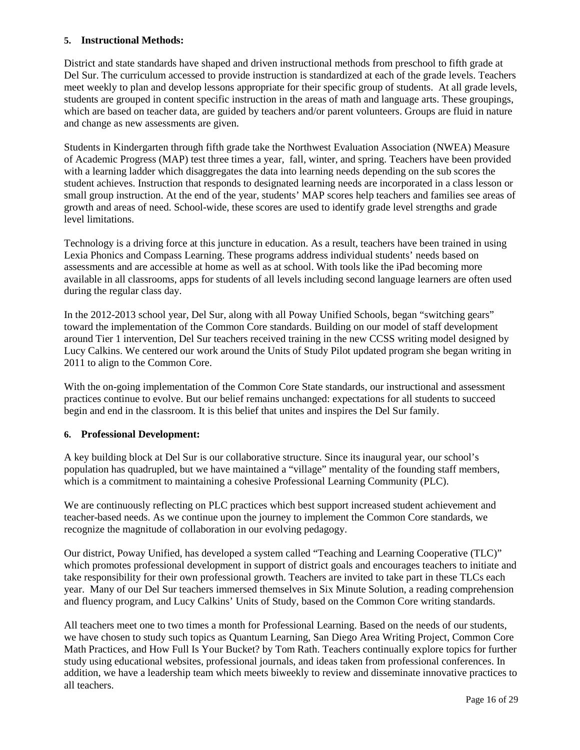#### **5. Instructional Methods:**

District and state standards have shaped and driven instructional methods from preschool to fifth grade at Del Sur. The curriculum accessed to provide instruction is standardized at each of the grade levels. Teachers meet weekly to plan and develop lessons appropriate for their specific group of students. At all grade levels, students are grouped in content specific instruction in the areas of math and language arts. These groupings, which are based on teacher data, are guided by teachers and/or parent volunteers. Groups are fluid in nature and change as new assessments are given.

Students in Kindergarten through fifth grade take the Northwest Evaluation Association (NWEA) Measure of Academic Progress (MAP) test three times a year, fall, winter, and spring. Teachers have been provided with a learning ladder which disaggregates the data into learning needs depending on the sub scores the student achieves. Instruction that responds to designated learning needs are incorporated in a class lesson or small group instruction. At the end of the year, students' MAP scores help teachers and families see areas of growth and areas of need. School-wide, these scores are used to identify grade level strengths and grade level limitations.

Technology is a driving force at this juncture in education. As a result, teachers have been trained in using Lexia Phonics and Compass Learning. These programs address individual students' needs based on assessments and are accessible at home as well as at school. With tools like the iPad becoming more available in all classrooms, apps for students of all levels including second language learners are often used during the regular class day.

In the 2012-2013 school year, Del Sur, along with all Poway Unified Schools, began "switching gears" toward the implementation of the Common Core standards. Building on our model of staff development around Tier 1 intervention, Del Sur teachers received training in the new CCSS writing model designed by Lucy Calkins. We centered our work around the Units of Study Pilot updated program she began writing in 2011 to align to the Common Core.

With the on-going implementation of the Common Core State standards, our instructional and assessment practices continue to evolve. But our belief remains unchanged: expectations for all students to succeed begin and end in the classroom. It is this belief that unites and inspires the Del Sur family.

#### **6. Professional Development:**

A key building block at Del Sur is our collaborative structure. Since its inaugural year, our school's population has quadrupled, but we have maintained a "village" mentality of the founding staff members, which is a commitment to maintaining a cohesive Professional Learning Community (PLC).

We are continuously reflecting on PLC practices which best support increased student achievement and teacher-based needs. As we continue upon the journey to implement the Common Core standards, we recognize the magnitude of collaboration in our evolving pedagogy.

Our district, Poway Unified, has developed a system called "Teaching and Learning Cooperative (TLC)" which promotes professional development in support of district goals and encourages teachers to initiate and take responsibility for their own professional growth. Teachers are invited to take part in these TLCs each year. Many of our Del Sur teachers immersed themselves in Six Minute Solution, a reading comprehension and fluency program, and Lucy Calkins' Units of Study, based on the Common Core writing standards.

All teachers meet one to two times a month for Professional Learning. Based on the needs of our students, we have chosen to study such topics as Quantum Learning, San Diego Area Writing Project, Common Core Math Practices, and How Full Is Your Bucket? by Tom Rath. Teachers continually explore topics for further study using educational websites, professional journals, and ideas taken from professional conferences. In addition, we have a leadership team which meets biweekly to review and disseminate innovative practices to all teachers.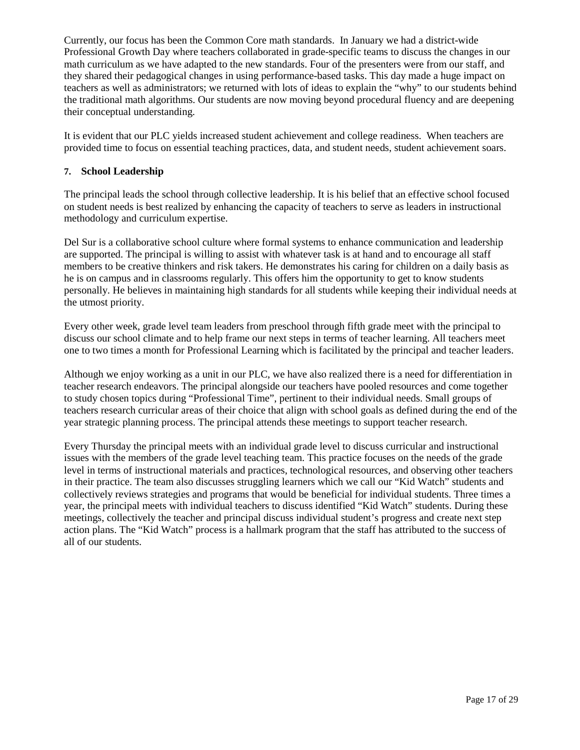Currently, our focus has been the Common Core math standards. In January we had a district-wide Professional Growth Day where teachers collaborated in grade-specific teams to discuss the changes in our math curriculum as we have adapted to the new standards. Four of the presenters were from our staff, and they shared their pedagogical changes in using performance-based tasks. This day made a huge impact on teachers as well as administrators; we returned with lots of ideas to explain the "why" to our students behind the traditional math algorithms. Our students are now moving beyond procedural fluency and are deepening their conceptual understanding.

It is evident that our PLC yields increased student achievement and college readiness. When teachers are provided time to focus on essential teaching practices, data, and student needs, student achievement soars.

#### **7. School Leadership**

The principal leads the school through collective leadership. It is his belief that an effective school focused on student needs is best realized by enhancing the capacity of teachers to serve as leaders in instructional methodology and curriculum expertise.

Del Sur is a collaborative school culture where formal systems to enhance communication and leadership are supported. The principal is willing to assist with whatever task is at hand and to encourage all staff members to be creative thinkers and risk takers. He demonstrates his caring for children on a daily basis as he is on campus and in classrooms regularly. This offers him the opportunity to get to know students personally. He believes in maintaining high standards for all students while keeping their individual needs at the utmost priority.

Every other week, grade level team leaders from preschool through fifth grade meet with the principal to discuss our school climate and to help frame our next steps in terms of teacher learning. All teachers meet one to two times a month for Professional Learning which is facilitated by the principal and teacher leaders.

Although we enjoy working as a unit in our PLC, we have also realized there is a need for differentiation in teacher research endeavors. The principal alongside our teachers have pooled resources and come together to study chosen topics during "Professional Time", pertinent to their individual needs. Small groups of teachers research curricular areas of their choice that align with school goals as defined during the end of the year strategic planning process. The principal attends these meetings to support teacher research.

Every Thursday the principal meets with an individual grade level to discuss curricular and instructional issues with the members of the grade level teaching team. This practice focuses on the needs of the grade level in terms of instructional materials and practices, technological resources, and observing other teachers in their practice. The team also discusses struggling learners which we call our "Kid Watch" students and collectively reviews strategies and programs that would be beneficial for individual students. Three times a year, the principal meets with individual teachers to discuss identified "Kid Watch" students. During these meetings, collectively the teacher and principal discuss individual student's progress and create next step action plans. The "Kid Watch" process is a hallmark program that the staff has attributed to the success of all of our students.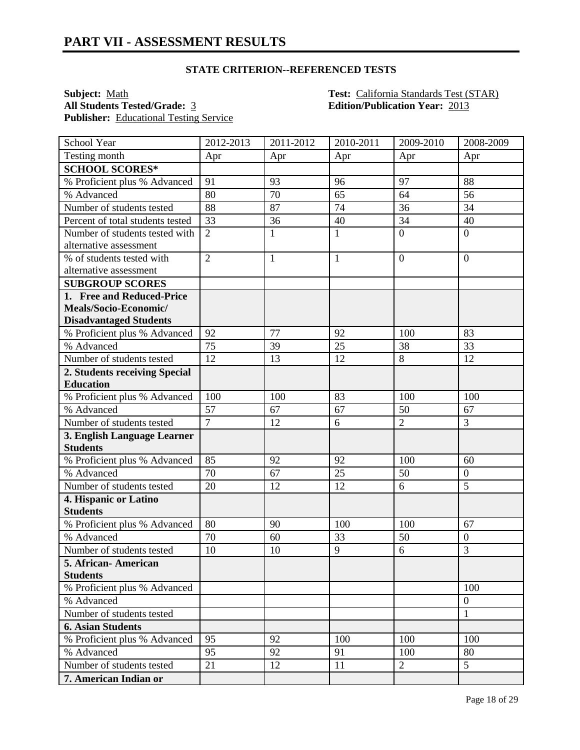#### **STATE CRITERION--REFERENCED TESTS**

Publisher: Educational Testing Service

**Subject:** <u>Math **Test:** California Standards Test (STAR)</u><br> **All Students Tested/Grade:** 3 **Edition/Publication Year:** 2013 **All Students Tested/Grade:** 3 **Edition/Publication Year:** 2013

| School Year                      | 2012-2013      | 2011-2012    | 2010-2011    | 2009-2010      | 2008-2009        |
|----------------------------------|----------------|--------------|--------------|----------------|------------------|
| Testing month                    | Apr            | Apr          | Apr          | Apr            | Apr              |
| <b>SCHOOL SCORES*</b>            |                |              |              |                |                  |
| % Proficient plus % Advanced     | 91             | 93           | 96           | 97             | 88               |
| % Advanced                       | 80             | 70           | 65           | 64             | 56               |
| Number of students tested        | 88             | 87           | 74           | 36             | 34               |
| Percent of total students tested | 33             | 36           | 40           | 34             | 40               |
| Number of students tested with   | $\overline{2}$ | $\mathbf{1}$ | $\mathbf{1}$ | $\overline{0}$ | $\overline{0}$   |
| alternative assessment           |                |              |              |                |                  |
| % of students tested with        | $\overline{2}$ | $\mathbf{1}$ | $\mathbf{1}$ | $\overline{0}$ | $\overline{0}$   |
| alternative assessment           |                |              |              |                |                  |
| <b>SUBGROUP SCORES</b>           |                |              |              |                |                  |
| 1. Free and Reduced-Price        |                |              |              |                |                  |
| Meals/Socio-Economic/            |                |              |              |                |                  |
| <b>Disadvantaged Students</b>    |                |              |              |                |                  |
| % Proficient plus % Advanced     | 92             | 77           | 92           | 100            | 83               |
| % Advanced                       | 75             | 39           | 25           | 38             | 33               |
| Number of students tested        | 12             | 13           | 12           | 8              | 12               |
| 2. Students receiving Special    |                |              |              |                |                  |
| <b>Education</b>                 |                |              |              |                |                  |
| % Proficient plus % Advanced     | 100            | 100          | 83           | 100            | 100              |
| % Advanced                       | 57             | 67           | 67           | 50             | 67               |
| Number of students tested        | $\overline{7}$ | 12           | 6            | $\overline{2}$ | 3                |
| 3. English Language Learner      |                |              |              |                |                  |
| <b>Students</b>                  |                |              |              |                |                  |
| % Proficient plus % Advanced     | 85             | 92           | 92           | 100            | 60               |
| % Advanced                       | 70             | 67           | 25           | 50             | $\boldsymbol{0}$ |
| Number of students tested        | 20             | 12           | 12           | 6              | 5                |
| 4. Hispanic or Latino            |                |              |              |                |                  |
| <b>Students</b>                  |                |              |              |                |                  |
| % Proficient plus % Advanced     | 80             | 90           | 100          | 100            | 67               |
| % Advanced                       | 70             | 60           | 33           | 50             | $\boldsymbol{0}$ |
| Number of students tested        | 10             | 10           | 9            | 6              | $\overline{3}$   |
| 5. African-American              |                |              |              |                |                  |
| <b>Students</b>                  |                |              |              |                |                  |
| % Proficient plus % Advanced     |                |              |              |                | 100              |
| % Advanced                       |                |              |              |                | $\boldsymbol{0}$ |
| Number of students tested        |                |              |              |                | 1                |
| <b>6. Asian Students</b>         |                |              |              |                |                  |
| % Proficient plus % Advanced     | 95             | 92           | 100          | 100            | 100              |
| % Advanced                       | 95             | 92           | 91           | 100            | 80               |
| Number of students tested        | 21             | 12           | 11           | $\overline{2}$ | 5                |
| 7. American Indian or            |                |              |              |                |                  |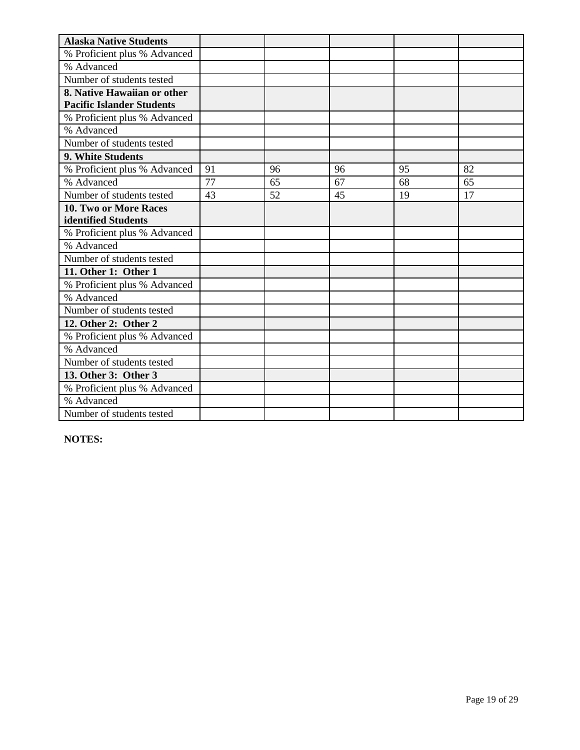| <b>Alaska Native Students</b>    |    |    |    |    |    |
|----------------------------------|----|----|----|----|----|
| % Proficient plus % Advanced     |    |    |    |    |    |
| % Advanced                       |    |    |    |    |    |
| Number of students tested        |    |    |    |    |    |
| 8. Native Hawaiian or other      |    |    |    |    |    |
| <b>Pacific Islander Students</b> |    |    |    |    |    |
| % Proficient plus % Advanced     |    |    |    |    |    |
| % Advanced                       |    |    |    |    |    |
| Number of students tested        |    |    |    |    |    |
| 9. White Students                |    |    |    |    |    |
| % Proficient plus % Advanced     | 91 | 96 | 96 | 95 | 82 |
| % Advanced                       | 77 | 65 | 67 | 68 | 65 |
| Number of students tested        | 43 | 52 | 45 | 19 | 17 |
| <b>10. Two or More Races</b>     |    |    |    |    |    |
| identified Students              |    |    |    |    |    |
| % Proficient plus % Advanced     |    |    |    |    |    |
| % Advanced                       |    |    |    |    |    |
| Number of students tested        |    |    |    |    |    |
| 11. Other 1: Other 1             |    |    |    |    |    |
| % Proficient plus % Advanced     |    |    |    |    |    |
| % Advanced                       |    |    |    |    |    |
| Number of students tested        |    |    |    |    |    |
| 12. Other 2: Other 2             |    |    |    |    |    |
| % Proficient plus % Advanced     |    |    |    |    |    |
| % Advanced                       |    |    |    |    |    |
| Number of students tested        |    |    |    |    |    |
| 13. Other 3: Other 3             |    |    |    |    |    |
| % Proficient plus % Advanced     |    |    |    |    |    |
| % Advanced                       |    |    |    |    |    |
| Number of students tested        |    |    |    |    |    |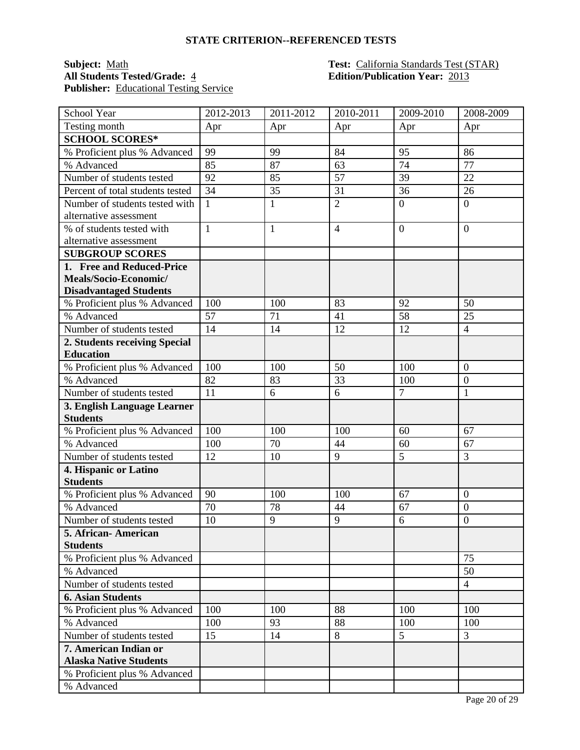#### **STATE CRITERION--REFERENCED TESTS**

# **Publisher:** Educational Testing Service

#### **Subject:** <u>Math **Test:** California Standards Test (STAR)</u><br> **All Students Tested/Grade:** 4 **Test: California Standards Test (STAR) All Students Tested/Grade:** 4 **Edition/Publication Year:** 2013

| School Year                              | 2012-2013       | 2011-2012    | 2010-2011      | 2009-2010      | 2008-2009        |
|------------------------------------------|-----------------|--------------|----------------|----------------|------------------|
| Testing month                            | Apr             | Apr          | Apr            | Apr            | Apr              |
| <b>SCHOOL SCORES*</b>                    |                 |              |                |                |                  |
| % Proficient plus % Advanced             | 99              | 99           | 84             | 95             | 86               |
| % Advanced                               | 85              | 87           | 63             | 74             | 77               |
| Number of students tested                | 92              | 85           | 57             | 39             | 22               |
| Percent of total students tested         | 34              | 35           | 31             | 36             | 26               |
| Number of students tested with           | 1               | $\mathbf{1}$ | $\overline{2}$ | $\overline{0}$ | $\overline{0}$   |
| alternative assessment                   |                 |              |                |                |                  |
| % of students tested with                | $\mathbf{1}$    | $\mathbf{1}$ | $\overline{4}$ | $\overline{0}$ | $\overline{0}$   |
| alternative assessment                   |                 |              |                |                |                  |
| <b>SUBGROUP SCORES</b>                   |                 |              |                |                |                  |
| 1. Free and Reduced-Price                |                 |              |                |                |                  |
| Meals/Socio-Economic/                    |                 |              |                |                |                  |
| <b>Disadvantaged Students</b>            |                 |              |                |                |                  |
| % Proficient plus % Advanced             | 100             | 100          | 83             | 92             | 50               |
| % Advanced                               | 57              | 71           | 41             | 58             | 25               |
| Number of students tested                | $\overline{14}$ | 14           | 12             | 12             | $\overline{4}$   |
| 2. Students receiving Special            |                 |              |                |                |                  |
| <b>Education</b>                         |                 |              |                |                |                  |
| % Proficient plus % Advanced             | 100             | 100          | 50             | 100            | $\overline{0}$   |
| % Advanced                               | 82              | 83           | 33             | 100            | $\boldsymbol{0}$ |
| Number of students tested                | 11              | 6            | 6              | $\overline{7}$ | $\mathbf{1}$     |
| 3. English Language Learner              |                 |              |                |                |                  |
| <b>Students</b>                          |                 |              |                |                |                  |
| % Proficient plus % Advanced             | 100             | 100          | 100            | 60             | 67               |
| % Advanced                               | 100             | 70           | 44             | 60             | 67               |
| Number of students tested                | 12              | 10           | 9              | 5              | 3                |
| 4. Hispanic or Latino<br><b>Students</b> |                 |              |                |                |                  |
| % Proficient plus % Advanced             | 90              | 100          | 100            | 67             | $\overline{0}$   |
| % Advanced                               | 70              | 78           | 44             | 67             | $\overline{0}$   |
| Number of students tested                | 10              | 9            | 9              | 6              | $\overline{0}$   |
| 5. African-American                      |                 |              |                |                |                  |
| <b>Students</b>                          |                 |              |                |                |                  |
| % Proficient plus % Advanced             |                 |              |                |                | 75               |
| % Advanced                               |                 |              |                |                | 50               |
| Number of students tested                |                 |              |                |                | $\overline{4}$   |
| <b>6. Asian Students</b>                 |                 |              |                |                |                  |
| % Proficient plus % Advanced             | 100             | 100          | 88             | 100            | 100              |
| % Advanced                               | 100             | 93           | 88             | 100            | 100              |
| Number of students tested                | 15              | 14           | 8              | 5              | 3                |
| 7. American Indian or                    |                 |              |                |                |                  |
| <b>Alaska Native Students</b>            |                 |              |                |                |                  |
| % Proficient plus % Advanced             |                 |              |                |                |                  |
| % Advanced                               |                 |              |                |                |                  |
|                                          |                 |              |                |                |                  |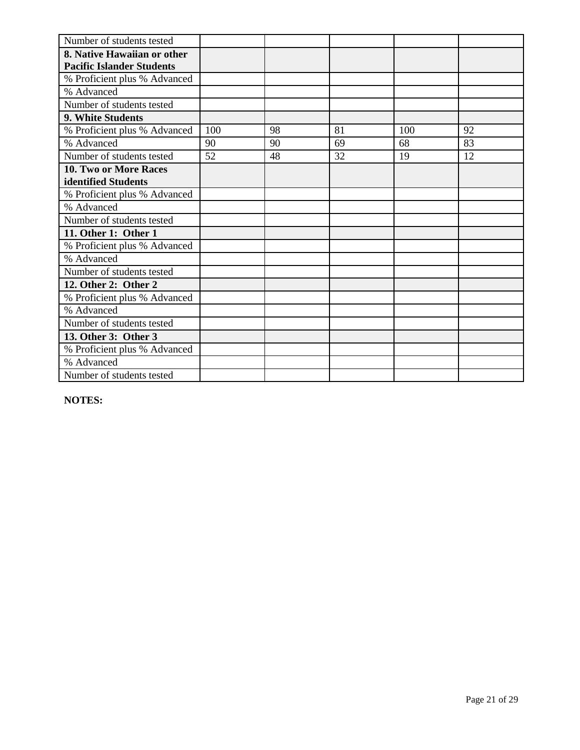| Number of students tested        |     |    |    |     |    |
|----------------------------------|-----|----|----|-----|----|
| 8. Native Hawaiian or other      |     |    |    |     |    |
| <b>Pacific Islander Students</b> |     |    |    |     |    |
| % Proficient plus % Advanced     |     |    |    |     |    |
| % Advanced                       |     |    |    |     |    |
| Number of students tested        |     |    |    |     |    |
| 9. White Students                |     |    |    |     |    |
| % Proficient plus % Advanced     | 100 | 98 | 81 | 100 | 92 |
| % Advanced                       | 90  | 90 | 69 | 68  | 83 |
| Number of students tested        | 52  | 48 | 32 | 19  | 12 |
| 10. Two or More Races            |     |    |    |     |    |
| identified Students              |     |    |    |     |    |
| % Proficient plus % Advanced     |     |    |    |     |    |
| % Advanced                       |     |    |    |     |    |
| Number of students tested        |     |    |    |     |    |
| 11. Other 1: Other 1             |     |    |    |     |    |
| % Proficient plus % Advanced     |     |    |    |     |    |
| % Advanced                       |     |    |    |     |    |
| Number of students tested        |     |    |    |     |    |
| 12. Other 2: Other 2             |     |    |    |     |    |
| % Proficient plus % Advanced     |     |    |    |     |    |
| % Advanced                       |     |    |    |     |    |
| Number of students tested        |     |    |    |     |    |
| 13. Other 3: Other 3             |     |    |    |     |    |
| % Proficient plus % Advanced     |     |    |    |     |    |
| % Advanced                       |     |    |    |     |    |
| Number of students tested        |     |    |    |     |    |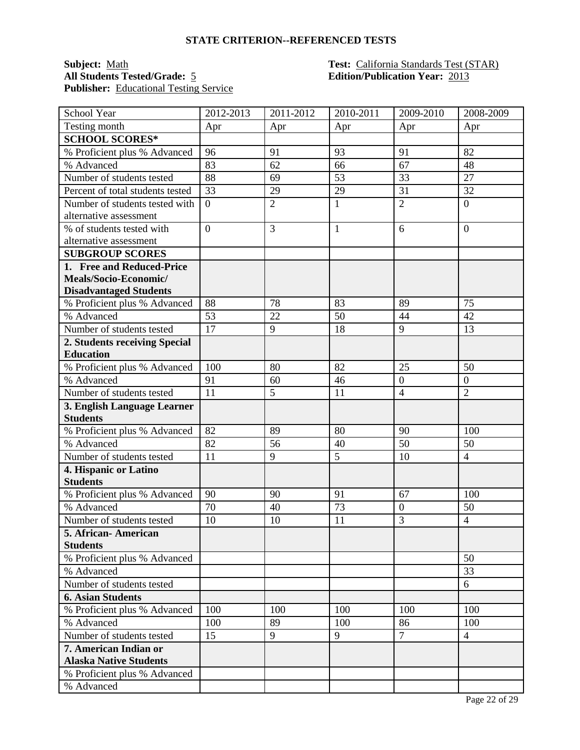#### **STATE CRITERION--REFERENCED TESTS**

### **All Students Tested/Grade:** 5 **Edition/Publication Year:** 2013 **Publisher:** Educational Testing Service

# **Subject:** <u>Math **Test:** California Standards Test (STAR)</u><br> **All Students Tested/Grade:** 5 **Test:** California Standards Test (STAR)

| School Year                      | 2012-2013      | $\overline{20}11 - 2012$ | 2010-2011    | 2009-2010        | 2008-2009      |
|----------------------------------|----------------|--------------------------|--------------|------------------|----------------|
| Testing month                    | Apr            | Apr                      | Apr          | Apr              | Apr            |
| <b>SCHOOL SCORES*</b>            |                |                          |              |                  |                |
| % Proficient plus % Advanced     | 96             | 91                       | 93           | 91               | 82             |
| % Advanced                       | 83             | 62                       | 66           | 67               | 48             |
| Number of students tested        | 88             | 69                       | 53           | 33               | 27             |
| Percent of total students tested | 33             | 29                       | 29           | 31               | 32             |
| Number of students tested with   | $\overline{0}$ | $\overline{2}$           | $\mathbf{1}$ | $\overline{2}$   | $\overline{0}$ |
| alternative assessment           |                |                          |              |                  |                |
| % of students tested with        | $\overline{0}$ | 3                        | $\mathbf{1}$ | 6                | $\overline{0}$ |
| alternative assessment           |                |                          |              |                  |                |
| <b>SUBGROUP SCORES</b>           |                |                          |              |                  |                |
| 1. Free and Reduced-Price        |                |                          |              |                  |                |
| Meals/Socio-Economic/            |                |                          |              |                  |                |
| <b>Disadvantaged Students</b>    |                |                          |              |                  |                |
| % Proficient plus % Advanced     | 88             | 78                       | 83           | 89               | 75             |
| % Advanced                       | 53             | 22                       | 50           | 44               | 42             |
| Number of students tested        | 17             | 9                        | 18           | 9                | 13             |
| 2. Students receiving Special    |                |                          |              |                  |                |
| <b>Education</b>                 |                |                          |              |                  |                |
| % Proficient plus % Advanced     | 100            | 80                       | 82           | 25               | 50             |
| % Advanced                       | 91             | 60                       | 46           | $\overline{0}$   | $\overline{0}$ |
| Number of students tested        | 11             | 5                        | 11           | $\overline{4}$   | $\overline{2}$ |
| 3. English Language Learner      |                |                          |              |                  |                |
| <b>Students</b>                  |                |                          |              |                  |                |
| % Proficient plus % Advanced     | 82             | 89                       | 80           | 90               | 100            |
| % Advanced                       | 82             | 56                       | 40           | 50               | 50             |
| Number of students tested        | 11             | 9                        | 5            | 10               | $\overline{4}$ |
| 4. Hispanic or Latino            |                |                          |              |                  |                |
| <b>Students</b>                  |                |                          |              |                  |                |
| % Proficient plus % Advanced     | 90             | 90                       | 91           | 67               | 100            |
| % Advanced                       | 70             | 40                       | 73           | $\boldsymbol{0}$ | 50             |
| Number of students tested        | 10             | 10                       | 11           | $\overline{3}$   | $\overline{4}$ |
| 5. African- American             |                |                          |              |                  |                |
| <b>Students</b>                  |                |                          |              |                  |                |
| % Proficient plus % Advanced     |                |                          |              |                  | 50             |
| % Advanced                       |                |                          |              |                  | 33             |
| Number of students tested        |                |                          |              |                  | 6              |
| <b>6. Asian Students</b>         |                |                          |              |                  |                |
| % Proficient plus % Advanced     | 100            | 100                      | 100          | 100              | 100            |
| % Advanced                       | 100            | 89                       | 100          | 86               | 100            |
| Number of students tested        | 15             | 9                        | 9            | $\overline{7}$   | $\overline{4}$ |
| 7. American Indian or            |                |                          |              |                  |                |
| <b>Alaska Native Students</b>    |                |                          |              |                  |                |
| % Proficient plus % Advanced     |                |                          |              |                  |                |
| % Advanced                       |                |                          |              |                  |                |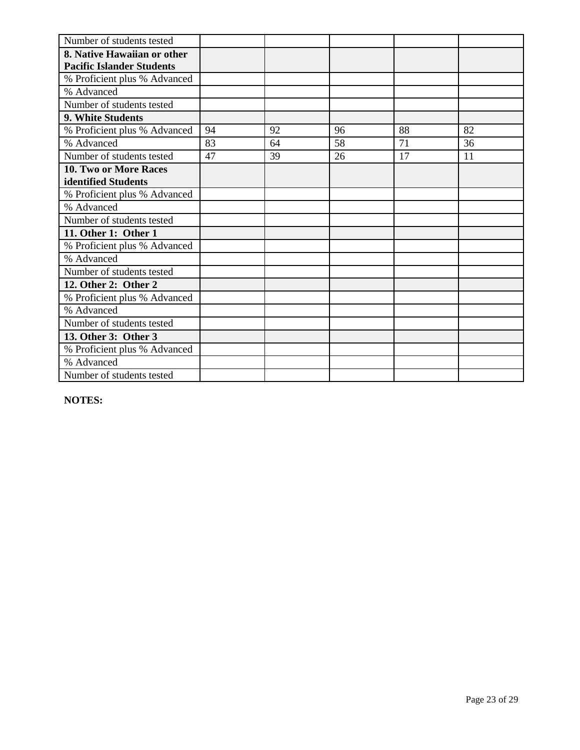| Number of students tested        |    |    |    |    |    |
|----------------------------------|----|----|----|----|----|
| 8. Native Hawaiian or other      |    |    |    |    |    |
| <b>Pacific Islander Students</b> |    |    |    |    |    |
| % Proficient plus % Advanced     |    |    |    |    |    |
| % Advanced                       |    |    |    |    |    |
| Number of students tested        |    |    |    |    |    |
| 9. White Students                |    |    |    |    |    |
| % Proficient plus % Advanced     | 94 | 92 | 96 | 88 | 82 |
| % Advanced                       | 83 | 64 | 58 | 71 | 36 |
| Number of students tested        | 47 | 39 | 26 | 17 | 11 |
| <b>10. Two or More Races</b>     |    |    |    |    |    |
| identified Students              |    |    |    |    |    |
| % Proficient plus % Advanced     |    |    |    |    |    |
| % Advanced                       |    |    |    |    |    |
| Number of students tested        |    |    |    |    |    |
| 11. Other 1: Other 1             |    |    |    |    |    |
| % Proficient plus % Advanced     |    |    |    |    |    |
| % Advanced                       |    |    |    |    |    |
| Number of students tested        |    |    |    |    |    |
| 12. Other 2: Other 2             |    |    |    |    |    |
| % Proficient plus % Advanced     |    |    |    |    |    |
| % Advanced                       |    |    |    |    |    |
| Number of students tested        |    |    |    |    |    |
| 13. Other 3: Other 3             |    |    |    |    |    |
| % Proficient plus % Advanced     |    |    |    |    |    |
| % Advanced                       |    |    |    |    |    |
| Number of students tested        |    |    |    |    |    |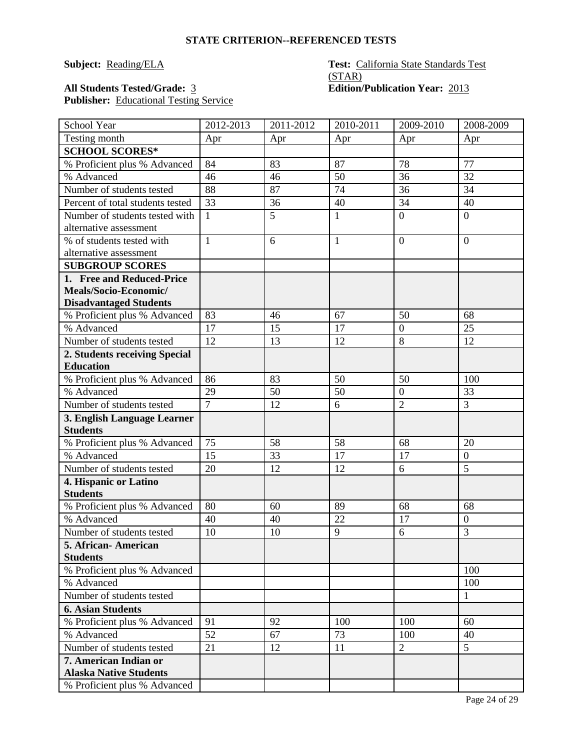### **Subject:** Reading/ELA **Test:** California State Standards Test (STAR)

### All Students Tested/Grade: 3 **Edition/Publication Year:** 2013 Publisher: Educational Testing Service

| School Year                                              | 2012-2013      | 2011-2012 | 2010-2011    | $2009 - 2010$    | 2008-2009           |
|----------------------------------------------------------|----------------|-----------|--------------|------------------|---------------------|
| Testing month                                            | Apr            | Apr       | Apr          | Apr              | Apr                 |
| <b>SCHOOL SCORES*</b>                                    |                |           |              |                  |                     |
| % Proficient plus % Advanced                             | 84             | 83        | 87           | 78               | 77                  |
| % Advanced                                               | 46             | 46        | 50           | 36               | 32                  |
| Number of students tested                                | 88             | 87        | 74           | 36               | 34                  |
| Percent of total students tested                         | 33             | 36        | 40           | 34               | 40                  |
| Number of students tested with<br>alternative assessment | $\mathbf{1}$   | 5         | $\mathbf{1}$ | $\overline{0}$   | $\overline{0}$      |
| % of students tested with                                | $\mathbf{1}$   | 6         | $\mathbf{1}$ | $\overline{0}$   | $\overline{0}$      |
| alternative assessment                                   |                |           |              |                  |                     |
| <b>SUBGROUP SCORES</b>                                   |                |           |              |                  |                     |
| 1. Free and Reduced-Price                                |                |           |              |                  |                     |
| Meals/Socio-Economic/                                    |                |           |              |                  |                     |
| <b>Disadvantaged Students</b>                            |                |           |              |                  |                     |
| % Proficient plus % Advanced                             | 83             | 46        | 67           | 50               | 68                  |
| % Advanced                                               | 17             | 15        | 17           | $\boldsymbol{0}$ | 25                  |
| Number of students tested                                | 12             | 13        | 12           | 8                | 12                  |
| 2. Students receiving Special                            |                |           |              |                  |                     |
| <b>Education</b>                                         |                |           |              |                  |                     |
| % Proficient plus % Advanced                             | 86             | 83        | 50           | 50               | 100                 |
| % Advanced                                               | 29             | 50        | 50           | $\overline{0}$   | 33                  |
| Number of students tested                                | $\overline{7}$ | 12        | 6            | $\overline{2}$   | $\overline{3}$      |
| 3. English Language Learner                              |                |           |              |                  |                     |
| <b>Students</b>                                          |                |           |              |                  |                     |
| % Proficient plus % Advanced                             | 75             | 58        | 58           | 68               | 20                  |
| % Advanced                                               | 15             | 33        | 17           | 17               | $\overline{0}$      |
| Number of students tested                                | 20             | 12        | 12           | 6                | $\overline{5}$      |
| 4. Hispanic or Latino                                    |                |           |              |                  |                     |
| <b>Students</b>                                          |                |           |              |                  |                     |
| % Proficient plus % Advanced                             | 80             | 60        | 89           | 68               | 68                  |
| % Advanced                                               | 40             | 40        | 22           | 17               | $\boldsymbol{0}$    |
| Number of students tested                                | 10             | 10        | 9            | 6                | 3                   |
| 5. African-American                                      |                |           |              |                  |                     |
| <b>Students</b>                                          |                |           |              |                  | 100                 |
| % Proficient plus % Advanced                             |                |           |              |                  |                     |
| % Advanced<br>Number of students tested                  |                |           |              |                  | 100<br>$\mathbf{1}$ |
| <b>6. Asian Students</b>                                 |                |           |              |                  |                     |
| % Proficient plus % Advanced                             | 91             | 92        | 100          | 100              | 60                  |
| % Advanced                                               | 52             | 67        | 73           | 100              | 40                  |
| Number of students tested                                | 21             | 12        | 11           | $\overline{2}$   | 5 <sup>5</sup>      |
| 7. American Indian or                                    |                |           |              |                  |                     |
| <b>Alaska Native Students</b>                            |                |           |              |                  |                     |
| % Proficient plus % Advanced                             |                |           |              |                  |                     |
|                                                          |                |           |              |                  |                     |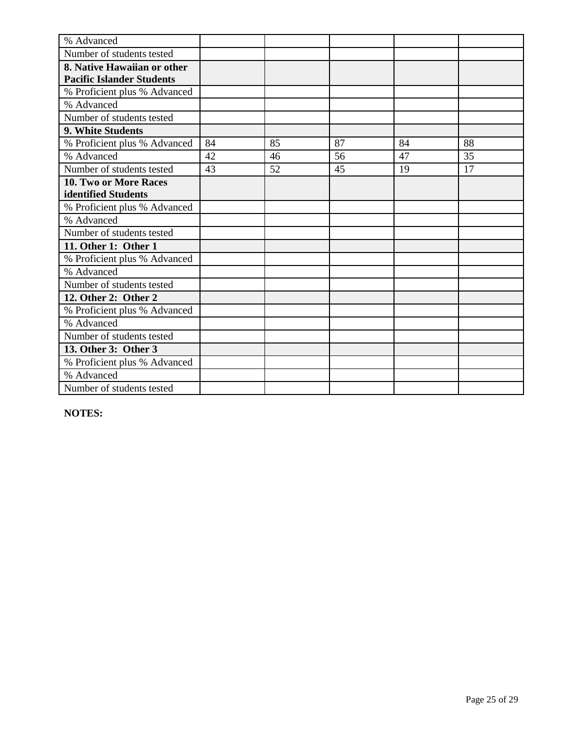| % Advanced                       |    |    |    |    |    |
|----------------------------------|----|----|----|----|----|
| Number of students tested        |    |    |    |    |    |
| 8. Native Hawaiian or other      |    |    |    |    |    |
| <b>Pacific Islander Students</b> |    |    |    |    |    |
| % Proficient plus % Advanced     |    |    |    |    |    |
| % Advanced                       |    |    |    |    |    |
| Number of students tested        |    |    |    |    |    |
| <b>9. White Students</b>         |    |    |    |    |    |
| % Proficient plus % Advanced     | 84 | 85 | 87 | 84 | 88 |
| % Advanced                       | 42 | 46 | 56 | 47 | 35 |
| Number of students tested        | 43 | 52 | 45 | 19 | 17 |
| 10. Two or More Races            |    |    |    |    |    |
| identified Students              |    |    |    |    |    |
| % Proficient plus % Advanced     |    |    |    |    |    |
| % Advanced                       |    |    |    |    |    |
| Number of students tested        |    |    |    |    |    |
| 11. Other 1: Other 1             |    |    |    |    |    |
| % Proficient plus % Advanced     |    |    |    |    |    |
| % Advanced                       |    |    |    |    |    |
| Number of students tested        |    |    |    |    |    |
| 12. Other 2: Other 2             |    |    |    |    |    |
| % Proficient plus % Advanced     |    |    |    |    |    |
| % Advanced                       |    |    |    |    |    |
| Number of students tested        |    |    |    |    |    |
| 13. Other 3: Other 3             |    |    |    |    |    |
| % Proficient plus % Advanced     |    |    |    |    |    |
| % Advanced                       |    |    |    |    |    |
| Number of students tested        |    |    |    |    |    |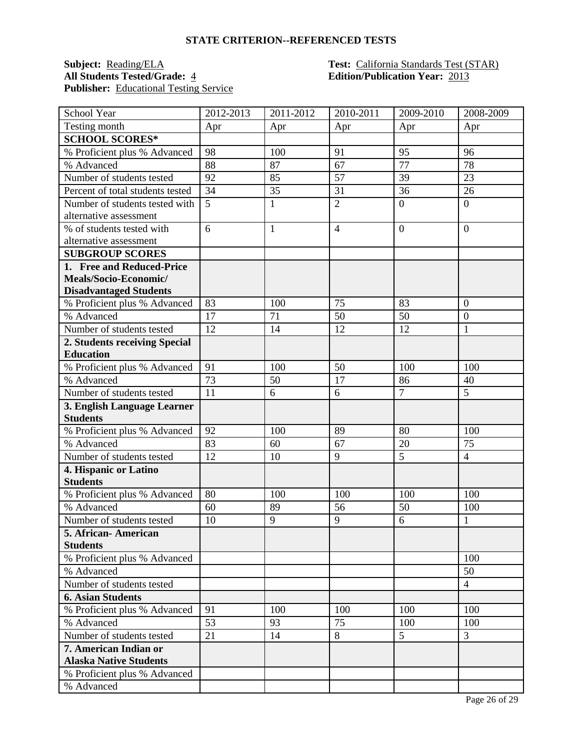#### **STATE CRITERION--REFERENCED TESTS**

## **Subject: Reading/ELA Test: California Standards Test (STAR) All Students Tested/Grade:** 4 **California Standards Test (STAR) Edition/Publication Year:** 2013 Publisher: Educational Testing Service

# **Edition/Publication Year: 2013**

| School Year                                    | 2012-2013 | 2011-2012    | 2010-2011      | 2009-2010            | 2008-2009            |
|------------------------------------------------|-----------|--------------|----------------|----------------------|----------------------|
| Testing month                                  | Apr       | Apr          | Apr            | Apr                  | Apr                  |
| <b>SCHOOL SCORES*</b>                          |           |              |                |                      |                      |
| % Proficient plus % Advanced                   | 98        | 100          | 91             | 95                   | 96                   |
| % Advanced                                     | 88        | 87           | 67             | 77                   | 78                   |
| Number of students tested                      | 92        | 85           | 57             | 39                   | 23                   |
| Percent of total students tested               | 34        | 35           | 31             | 36                   | 26                   |
| Number of students tested with                 | 5         | $\mathbf{1}$ | $\overline{2}$ | $\overline{0}$       | $\overline{0}$       |
| alternative assessment                         |           |              |                |                      |                      |
| % of students tested with                      | 6         | $\mathbf{1}$ | $\overline{4}$ | $\overline{0}$       | $\overline{0}$       |
| alternative assessment                         |           |              |                |                      |                      |
| <b>SUBGROUP SCORES</b>                         |           |              |                |                      |                      |
| 1. Free and Reduced-Price                      |           |              |                |                      |                      |
| Meals/Socio-Economic/                          |           |              |                |                      |                      |
| <b>Disadvantaged Students</b>                  |           |              |                |                      |                      |
| % Proficient plus % Advanced                   | 83        | 100          | 75             | 83                   | $\overline{0}$       |
| % Advanced                                     | 17        | 71           | 50             | 50                   | $\overline{0}$       |
| Number of students tested                      | 12        | 14           | 12             | 12                   | 1                    |
| 2. Students receiving Special                  |           |              |                |                      |                      |
| <b>Education</b>                               |           |              |                |                      |                      |
| % Proficient plus % Advanced                   | 91        | 100          | 50             | 100                  | 100                  |
| % Advanced                                     | 73        | 50           | 17             | 86<br>$\overline{7}$ | 40<br>$\overline{5}$ |
| Number of students tested                      | 11        | 6            | 6              |                      |                      |
| 3. English Language Learner<br><b>Students</b> |           |              |                |                      |                      |
| % Proficient plus % Advanced                   | 92        | 100          | 89             | 80                   | 100                  |
| % Advanced                                     | 83        | 60           | 67             | 20                   | 75                   |
| Number of students tested                      | 12        | 10           | 9              | 5                    | $\overline{4}$       |
| 4. Hispanic or Latino                          |           |              |                |                      |                      |
| <b>Students</b>                                |           |              |                |                      |                      |
| % Proficient plus % Advanced                   | 80        | 100          | 100            | 100                  | 100                  |
| % Advanced                                     | 60        | 89           | 56             | 50                   | 100                  |
| Number of students tested                      | 10        | 9            | 9              | 6                    | $\mathbf{1}$         |
| 5. African-American                            |           |              |                |                      |                      |
| <b>Students</b>                                |           |              |                |                      |                      |
| % Proficient plus % Advanced                   |           |              |                |                      | 100                  |
| % Advanced                                     |           |              |                |                      | 50                   |
| Number of students tested                      |           |              |                |                      | $\overline{4}$       |
| <b>6. Asian Students</b>                       |           |              |                |                      |                      |
| % Proficient plus % Advanced                   | 91        | 100          | 100            | 100                  | 100                  |
| % Advanced                                     | 53        | 93           | 75             | 100                  | 100                  |
| Number of students tested                      | 21        | 14           | 8              | 5                    | $\overline{3}$       |
| 7. American Indian or                          |           |              |                |                      |                      |
| <b>Alaska Native Students</b>                  |           |              |                |                      |                      |
| % Proficient plus % Advanced                   |           |              |                |                      |                      |
| % Advanced                                     |           |              |                |                      |                      |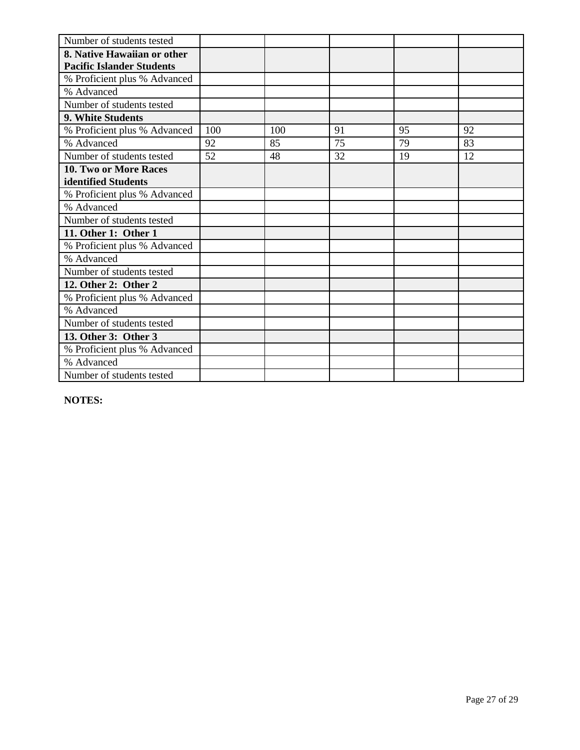| Number of students tested        |     |     |    |    |    |
|----------------------------------|-----|-----|----|----|----|
| 8. Native Hawaiian or other      |     |     |    |    |    |
| <b>Pacific Islander Students</b> |     |     |    |    |    |
| % Proficient plus % Advanced     |     |     |    |    |    |
| % Advanced                       |     |     |    |    |    |
| Number of students tested        |     |     |    |    |    |
| 9. White Students                |     |     |    |    |    |
| % Proficient plus % Advanced     | 100 | 100 | 91 | 95 | 92 |
| % Advanced                       | 92  | 85  | 75 | 79 | 83 |
| Number of students tested        | 52  | 48  | 32 | 19 | 12 |
| <b>10. Two or More Races</b>     |     |     |    |    |    |
| identified Students              |     |     |    |    |    |
| % Proficient plus % Advanced     |     |     |    |    |    |
| % Advanced                       |     |     |    |    |    |
| Number of students tested        |     |     |    |    |    |
| 11. Other 1: Other 1             |     |     |    |    |    |
| % Proficient plus % Advanced     |     |     |    |    |    |
| % Advanced                       |     |     |    |    |    |
| Number of students tested        |     |     |    |    |    |
| 12. Other 2: Other 2             |     |     |    |    |    |
| % Proficient plus % Advanced     |     |     |    |    |    |
| % Advanced                       |     |     |    |    |    |
| Number of students tested        |     |     |    |    |    |
| 13. Other 3: Other 3             |     |     |    |    |    |
| % Proficient plus % Advanced     |     |     |    |    |    |
| % Advanced                       |     |     |    |    |    |
| Number of students tested        |     |     |    |    |    |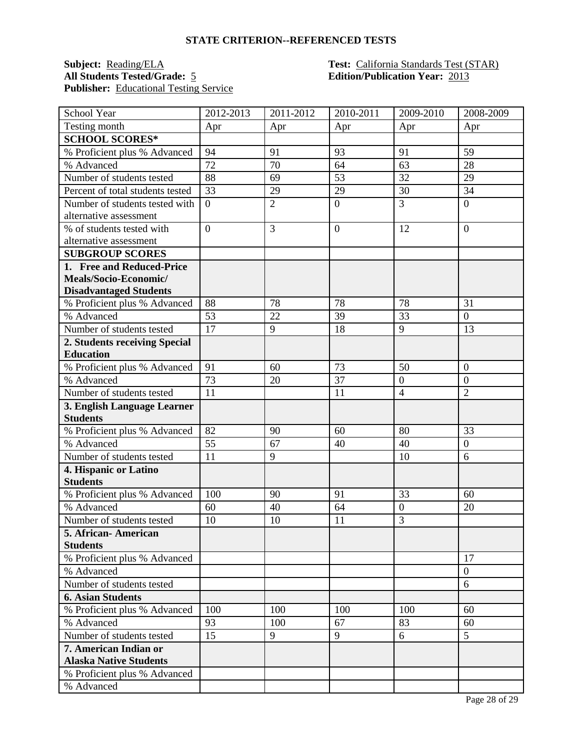#### **STATE CRITERION--REFERENCED TESTS**

# **Subject: Reading/ELA Test: California Standards Test (STAR) All Students Tested/Grade:** 5 **California Standards Test (STAR) Edition/Publication Year:** 2013 **Publisher:** Educational Testing Service

# **Edition/Publication Year: 2013**

| School Year                                     | 2012-2013      | 2011-2012      | 2010-2011      | 2009-2010      | 2008-2009      |
|-------------------------------------------------|----------------|----------------|----------------|----------------|----------------|
| Testing month                                   | Apr            | Apr            | Apr            | Apr            | Apr            |
| <b>SCHOOL SCORES*</b>                           |                |                |                |                |                |
| % Proficient plus % Advanced                    | 94             | 91             | 93             | 91             | 59             |
| % Advanced                                      | 72             | 70             | 64             | 63             | 28             |
| Number of students tested                       | 88             | 69             | 53             | 32             | 29             |
| Percent of total students tested                | 33             | 29             | 29             | 30             | 34             |
| Number of students tested with                  | $\overline{0}$ | $\overline{2}$ | $\mathbf{0}$   | $\overline{3}$ | $\overline{0}$ |
| alternative assessment                          |                |                |                |                |                |
| % of students tested with                       | $\overline{0}$ | 3              | $\overline{0}$ | 12             | $\overline{0}$ |
| alternative assessment                          |                |                |                |                |                |
| <b>SUBGROUP SCORES</b>                          |                |                |                |                |                |
| 1. Free and Reduced-Price                       |                |                |                |                |                |
| Meals/Socio-Economic/                           |                |                |                |                |                |
| <b>Disadvantaged Students</b>                   |                |                |                |                |                |
| % Proficient plus % Advanced                    | 88             | 78             | 78             | 78             | 31             |
| % Advanced                                      | 53             | 22             | 39             | 33             | $\overline{0}$ |
| Number of students tested                       | 17             | 9              | 18             | $\overline{9}$ | 13             |
| 2. Students receiving Special                   |                |                |                |                |                |
| <b>Education</b>                                |                |                |                |                |                |
| % Proficient plus % Advanced                    | 91             | 60             | 73             | 50             | $\overline{0}$ |
| % Advanced                                      | 73             | 20             | 37             | $\mathbf{0}$   | $\overline{0}$ |
| Number of students tested                       | 11             |                | 11             | $\overline{4}$ | $\overline{2}$ |
| 3. English Language Learner                     |                |                |                |                |                |
| <b>Students</b>                                 |                |                |                |                |                |
| % Proficient plus % Advanced                    | 82             | 90             | 60             | 80             | 33             |
| % Advanced                                      | 55             | 67             | 40             | 40             | $\overline{0}$ |
| Number of students tested                       | 11             | 9              |                | 10             | 6              |
| 4. Hispanic or Latino                           |                |                |                |                |                |
| <b>Students</b>                                 | 100            |                |                | 33             |                |
| % Proficient plus % Advanced                    |                | 90             | 91             |                | 60             |
| % Advanced                                      | 60             | 40             | 64             | $\overline{0}$ | 20             |
| Number of students tested                       | 10             | 10             | 11             | $\overline{3}$ |                |
| 5. African-American                             |                |                |                |                |                |
| <b>Students</b><br>% Proficient plus % Advanced |                |                |                |                | 17             |
| % Advanced                                      |                |                |                |                | $\overline{0}$ |
| Number of students tested                       |                |                |                |                | 6              |
| <b>6. Asian Students</b>                        |                |                |                |                |                |
|                                                 | 100            | 100            | 100            | 100            | 60             |
| % Proficient plus % Advanced<br>% Advanced      |                | 100            | 67             | 83             |                |
| Number of students tested                       | 93<br>15       | 9              | 9              | 6              | 60<br>5        |
| 7. American Indian or                           |                |                |                |                |                |
| <b>Alaska Native Students</b>                   |                |                |                |                |                |
| % Proficient plus % Advanced                    |                |                |                |                |                |
| % Advanced                                      |                |                |                |                |                |
|                                                 |                |                |                |                |                |